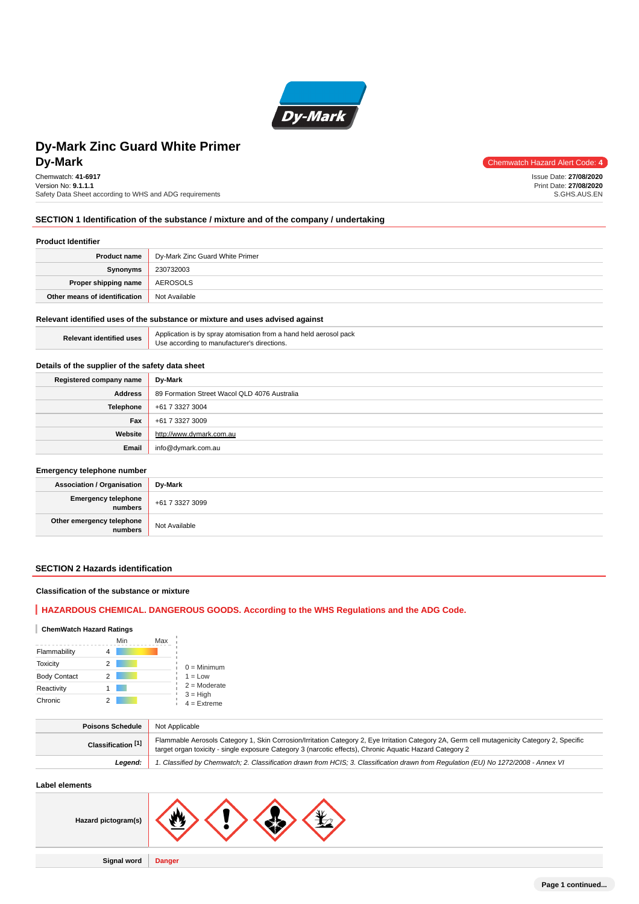

# **DV-Mark** Chemwatch Hazard Alert Code: 4 **Dy-Mark Zinc Guard White Primer**

Chemwatch: **41-6917** Version No: **9.1.1.1** Safety Data Sheet according to WHS and ADG requirements

Issue Date: **27/08/2020** Print Date: **27/08/2020** S.GHS.AUS.EN

## **SECTION 1 Identification of the substance / mixture and of the company / undertaking**

## **Product Identifier**

| <b>Product name</b>           | Dy-Mark Zinc Guard White Primer |
|-------------------------------|---------------------------------|
| Synonyms                      | 230732003                       |
| Proper shipping name          | AEROSOLS                        |
| Other means of identification | Not Available                   |

#### **Relevant identified uses of the substance or mixture and uses advised against**

| <b>Relevant identified uses</b> | Application is by spray atomisation from a hand held aerosol pack<br>Use according to manufacturer's directions. |
|---------------------------------|------------------------------------------------------------------------------------------------------------------|
|---------------------------------|------------------------------------------------------------------------------------------------------------------|

## **Details of the supplier of the safety data sheet**

| Registered company name | Dy-Mark                                      |  |  |
|-------------------------|----------------------------------------------|--|--|
| <b>Address</b>          | 89 Formation Street Wacol QLD 4076 Australia |  |  |
| Telephone               | +61 7 3327 3004                              |  |  |
| Fax                     | +61 7 3327 3009                              |  |  |
| Website                 | http://www.dymark.com.au                     |  |  |
| Email                   | info@dymark.com.au                           |  |  |

#### **Emergency telephone number**

| <b>Association / Organisation</b>    | Dy-Mark         |
|--------------------------------------|-----------------|
| Emergency telephone<br>  numbers     | +61 7 3327 3099 |
| Other emergency telephone<br>numbers | Not Available   |

# **SECTION 2 Hazards identification**

## **Classification of the substance or mixture**

# **HAZARDOUS CHEMICAL. DANGEROUS GOODS. According to the WHS Regulations and the ADG Code.**

## **ChemWatch Hazard Ratings**

|                     | Min | Max |                             |
|---------------------|-----|-----|-----------------------------|
| Flammability        | 4   |     |                             |
| <b>Toxicity</b>     | 2   |     | $0 =$ Minimum               |
| <b>Body Contact</b> | 2   |     | $1 = Low$                   |
| Reactivity          |     |     | $2 =$ Moderate              |
| Chronic             |     |     | $3 = High$<br>$4 =$ Extreme |

| <b>Poisons Schedule</b>       | Not Applicable                                                                                                                                                                                                                                           |  |  |
|-------------------------------|----------------------------------------------------------------------------------------------------------------------------------------------------------------------------------------------------------------------------------------------------------|--|--|
| Classification <sup>[1]</sup> | Flammable Aerosols Category 1, Skin Corrosion/Irritation Category 2, Eye Irritation Category 2A, Germ cell mutagenicity Category 2, Specific<br>target organ toxicity - single exposure Category 3 (narcotic effects), Chronic Aquatic Hazard Category 2 |  |  |
| Leaend:                       | 1. Classified by Chemwatch; 2. Classification drawn from HCIS; 3. Classification drawn from Regulation (EU) No 1272/2008 - Annex VI                                                                                                                      |  |  |
|                               |                                                                                                                                                                                                                                                          |  |  |

# **Label elements**

| Hazard pictogram(s) | Μ             |
|---------------------|---------------|
| <b>Signal word</b>  | <b>Danger</b> |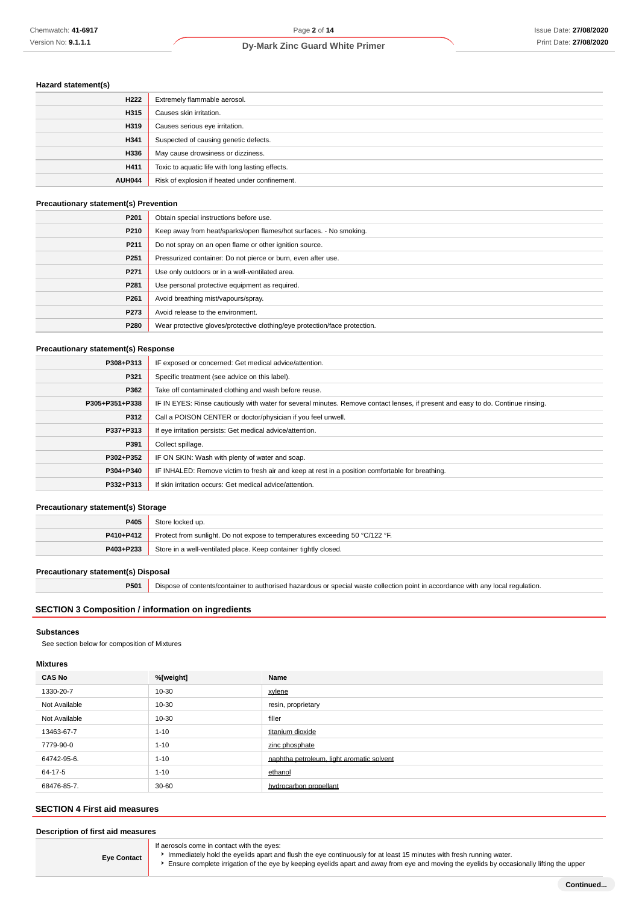# **Hazard statement(s)**

| H <sub>222</sub> | Extremely flammable aerosol.                     |  |
|------------------|--------------------------------------------------|--|
| H315             | Causes skin irritation.                          |  |
| H319             | Causes serious eye irritation.                   |  |
| H341             | Suspected of causing genetic defects.            |  |
| H336             | May cause drowsiness or dizziness.               |  |
| H411             | Toxic to aquatic life with long lasting effects. |  |
| <b>AUH044</b>    | Risk of explosion if heated under confinement.   |  |

### **Precautionary statement(s) Prevention**

| P <sub>201</sub> | Obtain special instructions before use.                                    |  |
|------------------|----------------------------------------------------------------------------|--|
| P210             | Keep away from heat/sparks/open flames/hot surfaces. - No smoking.         |  |
| P211             | Do not spray on an open flame or other ignition source.                    |  |
| P <sub>251</sub> | Pressurized container: Do not pierce or burn, even after use.              |  |
| P271             | Use only outdoors or in a well-ventilated area.                            |  |
| P281             | Use personal protective equipment as required.                             |  |
| P <sub>261</sub> | Avoid breathing mist/vapours/spray.                                        |  |
| P273             | Avoid release to the environment.                                          |  |
| P280             | Wear protective gloves/protective clothing/eye protection/face protection. |  |

### **Precautionary statement(s) Response**

| P308+P313      | IF exposed or concerned: Get medical advice/attention.                                                                           |  |  |
|----------------|----------------------------------------------------------------------------------------------------------------------------------|--|--|
| P321           | Specific treatment (see advice on this label).                                                                                   |  |  |
| P362           | Take off contaminated clothing and wash before reuse.                                                                            |  |  |
| P305+P351+P338 | IF IN EYES: Rinse cautiously with water for several minutes. Remove contact lenses, if present and easy to do. Continue rinsing. |  |  |
| P312           | Call a POISON CENTER or doctor/physician if you feel unwell.                                                                     |  |  |
| P337+P313      | If eye irritation persists: Get medical advice/attention.                                                                        |  |  |
| P391           | Collect spillage.                                                                                                                |  |  |
| P302+P352      | IF ON SKIN: Wash with plenty of water and soap.                                                                                  |  |  |
| P304+P340      | IF INHALED: Remove victim to fresh air and keep at rest in a position comfortable for breathing.                                 |  |  |
| P332+P313      | If skin irritation occurs: Get medical advice/attention.                                                                         |  |  |

#### **Precautionary statement(s) Storage**

| P405                                                                          | Store locked up.                                                             |  |
|-------------------------------------------------------------------------------|------------------------------------------------------------------------------|--|
| P410+P412                                                                     | Protect from sunlight. Do not expose to temperatures exceeding 50 °C/122 °F. |  |
| Store in a well-ventilated place. Keep container tightly closed.<br>P403+P233 |                                                                              |  |

#### **Precautionary statement(s) Disposal**

**P501** Dispose of contents/container to authorised hazardous or special waste collection point in accordance with any local regulation.

# **SECTION 3 Composition / information on ingredients**

#### **Substances**

See section below for composition of Mixtures

# **Mixtures**

| <b>CAS No</b> | %[weight] | Name                                      |
|---------------|-----------|-------------------------------------------|
| 1330-20-7     | 10-30     | xylene                                    |
| Not Available | 10-30     | resin, proprietary                        |
| Not Available | 10-30     | filler                                    |
| 13463-67-7    | $1 - 10$  | titanium dioxide                          |
| 7779-90-0     | $1 - 10$  | zinc phosphate                            |
| 64742-95-6.   | $1 - 10$  | naphtha petroleum, light aromatic solvent |
| 64-17-5       | $1 - 10$  | ethanol                                   |
| 68476-85-7.   | $30 - 60$ | hydrocarbon propellant                    |

# **SECTION 4 First aid measures**

## **Description of first aid measures**

**Eye Contact** If aerosols come in contact with the eyes: Immediately hold the eyelids apart and flush the eye continuously for at least 15 minutes with fresh running water.

Ensure complete irrigation of the eye by keeping eyelids apart and away from eye and moving the eyelids by occasionally lifting the upper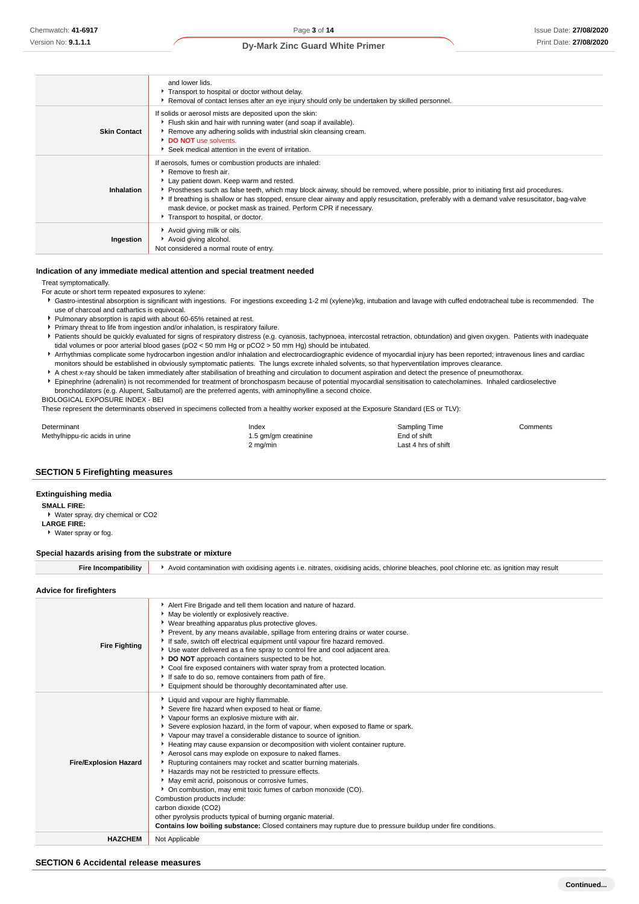|                     | and lower lids.<br>Transport to hospital or doctor without delay.<br>Removal of contact lenses after an eye injury should only be undertaken by skilled personnel.                                                                                                                                                                                                                                                                                                                                                           |
|---------------------|------------------------------------------------------------------------------------------------------------------------------------------------------------------------------------------------------------------------------------------------------------------------------------------------------------------------------------------------------------------------------------------------------------------------------------------------------------------------------------------------------------------------------|
| <b>Skin Contact</b> | If solids or aerosol mists are deposited upon the skin:<br>Flush skin and hair with running water (and soap if available).<br>Remove any adhering solids with industrial skin cleansing cream.<br>DO NOT use solvents.<br>Seek medical attention in the event of irritation.                                                                                                                                                                                                                                                 |
| Inhalation          | If aerosols, fumes or combustion products are inhaled:<br>▶ Remove to fresh air.<br>Lay patient down. Keep warm and rested.<br>Prostheses such as false teeth, which may block airway, should be removed, where possible, prior to initiating first aid procedures.<br>If breathing is shallow or has stopped, ensure clear airway and apply resuscitation, preferably with a demand valve resuscitator, bag-valve<br>mask device, or pocket mask as trained. Perform CPR if necessary.<br>Transport to hospital, or doctor. |
| Ingestion           | Avoid giving milk or oils.<br>Avoid giving alcohol.<br>Not considered a normal route of entry.                                                                                                                                                                                                                                                                                                                                                                                                                               |

#### **Indication of any immediate medical attention and special treatment needed**

Treat symptomatically.

- For acute or short term repeated exposures to xylene:
- Gastro-intestinal absorption is significant with ingestions. For ingestions exceeding 1-2 ml (xylene)/kg, intubation and lavage with cuffed endotracheal tube is recommended. The use of charcoal and cathartics is equivocal.
- Pulmonary absorption is rapid with about 60-65% retained at rest.
- Primary threat to life from ingestion and/or inhalation, is respiratory failure.
- Patients should be quickly evaluated for signs of respiratory distress (e.g. cyanosis, tachypnoea, intercostal retraction, obtundation) and given oxygen. Patients with inadequate tidal volumes or poor arterial blood gases (pO2 < 50 mm Hg or pCO2 > 50 mm Hg) should be intubated.
- Arrhythmias complicate some hydrocarbon ingestion and/or inhalation and electrocardiographic evidence of myocardial injury has been reported; intravenous lines and cardiac monitors should be established in obviously symptomatic patients. The lungs excrete inhaled solvents, so that hyperventilation improves clearance.
- A chest x-ray should be taken immediately after stabilisation of breathing and circulation to document aspiration and detect the presence of pneumothorax.
- Epinephrine (adrenalin) is not recommended for treatment of bronchospasm because of potential myocardial sensitisation to catecholamines. Inhaled cardioselective
- bronchodilators (e.g. Alupent, Salbutamol) are the preferred agents, with aminophylline a second choice. BIOLOGICAL EXPOSURE INDEX - BEI

These represent the determinants observed in specimens collected from a healthy worker exposed at the Exposure Standard (ES or TLV):

| Determinant                    | Index                | Sampling Time       | Comments |
|--------------------------------|----------------------|---------------------|----------|
| Methylhippu-ric acids in urine | 1.5 gm/gm creatinine | End of shift        |          |
|                                | 2 mg/min             | Last 4 hrs of shift |          |

#### **SECTION 5 Firefighting measures**

#### **Extinguishing media**

- **SMALL FIRE:**
- Water spray, dry chemical or CO2
- **LARGE FIRE:** Water spray or fog.
- 

#### **Special hazards arising from the substrate or mixture**

| Avoid contamination with oxidising agents i.e. nitrates, oxidising acids, chlorine bleaches, pool chlorine etc. as ignition may result |  |
|----------------------------------------------------------------------------------------------------------------------------------------|--|
|----------------------------------------------------------------------------------------------------------------------------------------|--|

#### **Advice for firefighters**

| <b>Fire Fighting</b>         | Alert Fire Brigade and tell them location and nature of hazard.<br>May be violently or explosively reactive.<br>• Wear breathing apparatus plus protective gloves.<br>▶ Prevent, by any means available, spillage from entering drains or water course.<br>If safe, switch off electrical equipment until vapour fire hazard removed.<br>▶ Use water delivered as a fine spray to control fire and cool adjacent area.<br>DO NOT approach containers suspected to be hot.<br>Cool fire exposed containers with water spray from a protected location.<br>If safe to do so, remove containers from path of fire.<br>Equipment should be thoroughly decontaminated after use.                                                                                                                                                                                                                                                         |
|------------------------------|-------------------------------------------------------------------------------------------------------------------------------------------------------------------------------------------------------------------------------------------------------------------------------------------------------------------------------------------------------------------------------------------------------------------------------------------------------------------------------------------------------------------------------------------------------------------------------------------------------------------------------------------------------------------------------------------------------------------------------------------------------------------------------------------------------------------------------------------------------------------------------------------------------------------------------------|
| <b>Fire/Explosion Hazard</b> | Liquid and vapour are highly flammable.<br>Severe fire hazard when exposed to heat or flame.<br>• Vapour forms an explosive mixture with air.<br>Severe explosion hazard, in the form of vapour, when exposed to flame or spark.<br>▶ Vapour may travel a considerable distance to source of ignition.<br>Heating may cause expansion or decomposition with violent container rupture.<br>Aerosol cans may explode on exposure to naked flames.<br>Rupturing containers may rocket and scatter burning materials.<br>Hazards may not be restricted to pressure effects.<br>May emit acrid, poisonous or corrosive fumes.<br>• On combustion, may emit toxic fumes of carbon monoxide (CO).<br>Combustion products include:<br>carbon dioxide (CO2)<br>other pyrolysis products typical of burning organic material.<br>Contains low boiling substance: Closed containers may rupture due to pressure buildup under fire conditions. |
| <b>HAZCHEM</b>               | Not Applicable                                                                                                                                                                                                                                                                                                                                                                                                                                                                                                                                                                                                                                                                                                                                                                                                                                                                                                                      |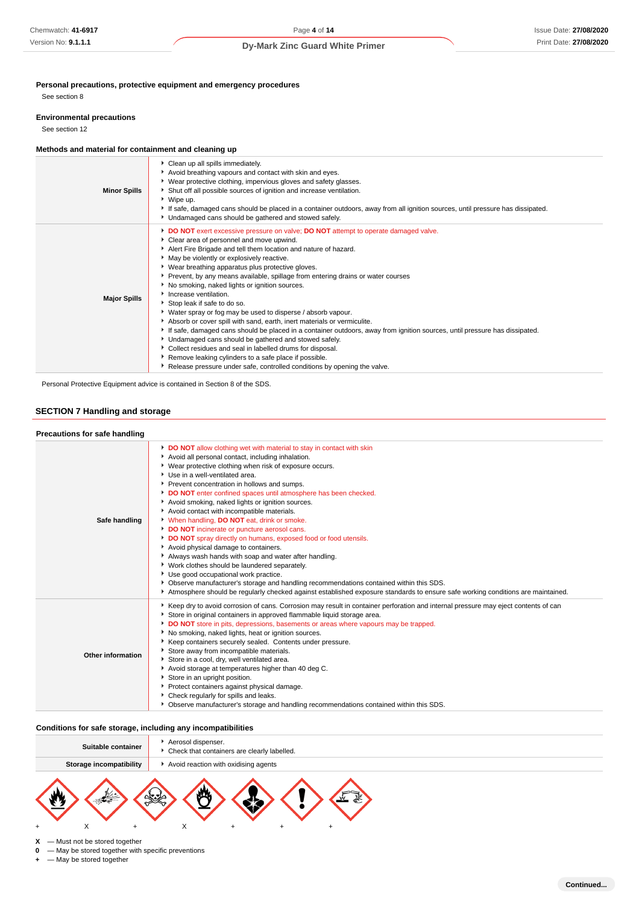**Personal precautions, protective equipment and emergency procedures**

See section 8

#### **Environmental precautions**

See section 12

## **Methods and material for containment and cleaning up**

| <b>Minor Spills</b> | Clean up all spills immediately.<br>Avoid breathing vapours and contact with skin and eyes.<br>▶ Wear protective clothing, impervious gloves and safety glasses.<br>Shut off all possible sources of ignition and increase ventilation.<br>▶ Wipe up.<br>If safe, damaged cans should be placed in a container outdoors, away from all ignition sources, until pressure has dissipated.<br>• Undamaged cans should be gathered and stowed safely.                                                                                                                                                                                                                                                                                                                                                                                                                                                                                                                                                                                          |
|---------------------|--------------------------------------------------------------------------------------------------------------------------------------------------------------------------------------------------------------------------------------------------------------------------------------------------------------------------------------------------------------------------------------------------------------------------------------------------------------------------------------------------------------------------------------------------------------------------------------------------------------------------------------------------------------------------------------------------------------------------------------------------------------------------------------------------------------------------------------------------------------------------------------------------------------------------------------------------------------------------------------------------------------------------------------------|
| <b>Major Spills</b> | DO NOT exert excessive pressure on valve; DO NOT attempt to operate damaged valve.<br>Clear area of personnel and move upwind.<br>Alert Fire Brigade and tell them location and nature of hazard.<br>May be violently or explosively reactive.<br>▶ Wear breathing apparatus plus protective gloves.<br>▶ Prevent, by any means available, spillage from entering drains or water courses<br>No smoking, naked lights or ignition sources.<br>Increase ventilation.<br>Stop leak if safe to do so.<br>▶ Water spray or fog may be used to disperse / absorb vapour.<br>Absorb or cover spill with sand, earth, inert materials or vermiculite.<br>If safe, damaged cans should be placed in a container outdoors, away from ignition sources, until pressure has dissipated.<br>• Undamaged cans should be gathered and stowed safely.<br>Collect residues and seal in labelled drums for disposal.<br>Remove leaking cylinders to a safe place if possible.<br>► Release pressure under safe, controlled conditions by opening the valve. |

Personal Protective Equipment advice is contained in Section 8 of the SDS.

# **SECTION 7 Handling and storage**

| Precautions for safe handling |                                                                                                                                                                                                                                                                                                                                                                                                                                                                                                                                                                                                                                                                                                                                                                                                                                                                                                                                                                                                                                           |
|-------------------------------|-------------------------------------------------------------------------------------------------------------------------------------------------------------------------------------------------------------------------------------------------------------------------------------------------------------------------------------------------------------------------------------------------------------------------------------------------------------------------------------------------------------------------------------------------------------------------------------------------------------------------------------------------------------------------------------------------------------------------------------------------------------------------------------------------------------------------------------------------------------------------------------------------------------------------------------------------------------------------------------------------------------------------------------------|
| Safe handling                 | DO NOT allow clothing wet with material to stay in contact with skin<br>Avoid all personal contact, including inhalation.<br>• Wear protective clothing when risk of exposure occurs.<br>▶ Use in a well-ventilated area.<br>Prevent concentration in hollows and sumps.<br>DO NOT enter confined spaces until atmosphere has been checked.<br>Avoid smoking, naked lights or ignition sources.<br>Avoid contact with incompatible materials.<br>V When handling, DO NOT eat, drink or smoke.<br>DO NOT incinerate or puncture aerosol cans.<br>DO NOT spray directly on humans, exposed food or food utensils.<br>Avoid physical damage to containers.<br>Always wash hands with soap and water after handling.<br>• Work clothes should be laundered separately.<br>Use good occupational work practice.<br>▶ Observe manufacturer's storage and handling recommendations contained within this SDS.<br>Atmosphere should be regularly checked against established exposure standards to ensure safe working conditions are maintained. |
| Other information             | ▶ Keep dry to avoid corrosion of cans. Corrosion may result in container perforation and internal pressure may eject contents of can<br>Store in original containers in approved flammable liquid storage area.<br>DO NOT store in pits, depressions, basements or areas where vapours may be trapped.<br>No smoking, naked lights, heat or ignition sources.<br>Externe containers securely sealed. Contents under pressure.<br>Store away from incompatible materials.<br>Store in a cool, dry, well ventilated area.<br>Avoid storage at temperatures higher than 40 deg C.<br>Store in an upright position.<br>Protect containers against physical damage.<br>• Check regularly for spills and leaks.<br>▶ Observe manufacturer's storage and handling recommendations contained within this SDS.                                                                                                                                                                                                                                     |

## **Conditions for safe storage, including any incompatibilities**

| Suitable container             | Aerosol dispenser.<br>• Check that containers are clearly labelled. |  |  |
|--------------------------------|---------------------------------------------------------------------|--|--|
| <b>Storage incompatibility</b> | Avoid reaction with oxidising agents                                |  |  |
|                                |                                                                     |  |  |



 $X$  — Must not be stored together<br>**0** — May be stored together with

 $-$  May be stored together with specific preventions

**+** — May be stored together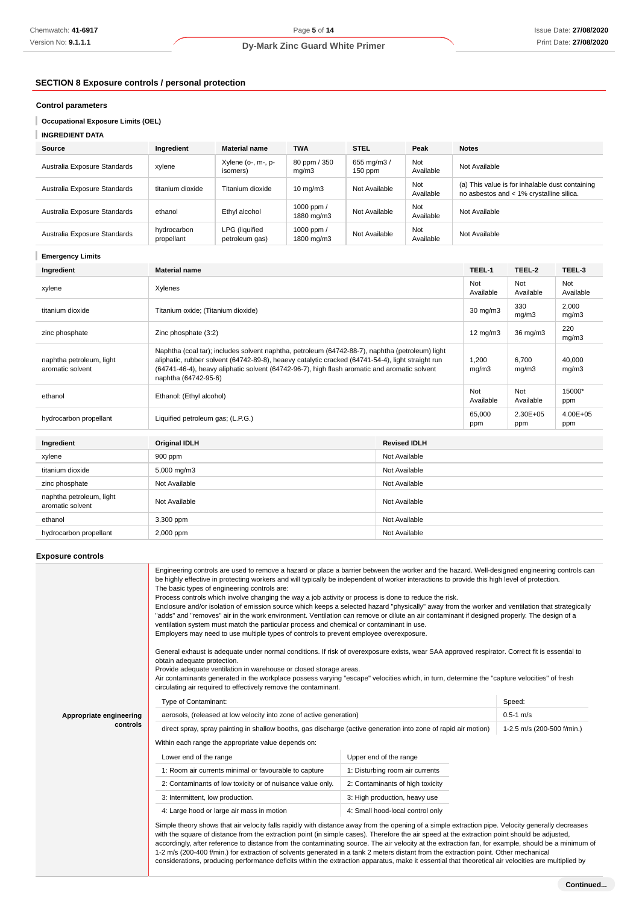# **SECTION 8 Exposure controls / personal protection**

## **Control parameters**

**Occupational Exposure Limits (OEL)**

# **INGREDIENT DATA**

| Source                       | Ingredient                | <b>Material name</b>             | <b>TWA</b>                 | <b>STEL</b>              | Peak             | <b>Notes</b>                                                                                |
|------------------------------|---------------------------|----------------------------------|----------------------------|--------------------------|------------------|---------------------------------------------------------------------------------------------|
| Australia Exposure Standards | xylene                    | Xylene (o-, m-, p-<br>isomers)   | 80 ppm / 350<br>mq/m3      | 655 mg/m3 /<br>$150$ ppm | Not<br>Available | Not Available                                                                               |
| Australia Exposure Standards | titanium dioxide          | Titanium dioxide                 | $10 \text{ mg/m}$          | Not Available            | Not<br>Available | (a) This value is for inhalable dust containing<br>no asbestos and < 1% crystalline silica. |
| Australia Exposure Standards | ethanol                   | Ethyl alcohol                    | 1000 ppm $/$<br>1880 mg/m3 | Not Available            | Not<br>Available | Not Available                                                                               |
| Australia Exposure Standards | hydrocarbon<br>propellant | LPG (liquified<br>petroleum gas) | 1000 ppm /<br>1800 mg/m3   | Not Available            | Not<br>Available | Not Available                                                                               |

### **Emergency Limits**

| Ingredient                                   | <b>Material name</b>                                                                                                                                                                                                                                                                                                         |                     |                   | TEEL-2            | TEEL-3              |  |
|----------------------------------------------|------------------------------------------------------------------------------------------------------------------------------------------------------------------------------------------------------------------------------------------------------------------------------------------------------------------------------|---------------------|-------------------|-------------------|---------------------|--|
| xylene                                       | Xylenes                                                                                                                                                                                                                                                                                                                      |                     |                   | Not<br>Available  | Not<br>Available    |  |
| titanium dioxide                             | Titanium oxide; (Titanium dioxide)                                                                                                                                                                                                                                                                                           |                     | $30 \text{ mg/m}$ | 330<br>mg/m3      | 2,000<br>mg/m3      |  |
| zinc phosphate                               | Zinc phosphate (3:2)                                                                                                                                                                                                                                                                                                         |                     | 12 $mg/m3$        | $36 \text{ mg/m}$ | 220<br>mg/m3        |  |
| naphtha petroleum, light<br>aromatic solvent | Naphtha (coal tar); includes solvent naphtha, petroleum (64742-88-7), naphtha (petroleum) light<br>aliphatic, rubber solvent (64742-89-8), heaevy catalytic cracked (64741-54-4), light straight run<br>(64741-46-4), heavy aliphatic solvent (64742-96-7), high flash aromatic and aromatic solvent<br>naphtha (64742-95-6) |                     |                   | 6,700<br>mg/m3    | 40,000<br>mg/m3     |  |
| ethanol                                      | Ethanol: (Ethyl alcohol)                                                                                                                                                                                                                                                                                                     |                     |                   | Not<br>Available  | 15000*<br>ppm       |  |
| hydrocarbon propellant                       | Liquified petroleum gas; (L.P.G.)                                                                                                                                                                                                                                                                                            |                     |                   | 2.30E+05<br>ppm   | $4.00E + 05$<br>ppm |  |
| Ingredient                                   | <b>Original IDLH</b>                                                                                                                                                                                                                                                                                                         | <b>Revised IDLH</b> |                   |                   |                     |  |
|                                              |                                                                                                                                                                                                                                                                                                                              |                     |                   |                   |                     |  |
| xylene                                       | 900 ppm<br>Not Available                                                                                                                                                                                                                                                                                                     |                     |                   |                   |                     |  |
| titanium dioxide                             | 5,000 mg/m3<br>Not Available                                                                                                                                                                                                                                                                                                 |                     |                   |                   |                     |  |
| zinc phosphate                               | Not Available<br>Not Available                                                                                                                                                                                                                                                                                               |                     |                   |                   |                     |  |
| naphtha petroleum, light<br>aromatic solvent | Not Available<br>Not Available                                                                                                                                                                                                                                                                                               |                     |                   |                   |                     |  |

ethanol 3,300 ppm Not Available 3,300 ppm Not Available hydrocarbon propellant 2,000 ppm Not Available

# **Exposure controls**

| The basic types of engineering controls are:<br>General exhaust is adequate under normal conditions. If risk of overexposure exists, wear SAA approved respirator. Correct fit is essential to | Engineering controls are used to remove a hazard or place a barrier between the worker and the hazard. Well-designed engineering controls can<br>be highly effective in protecting workers and will typically be independent of worker interactions to provide this high level of protection.<br>Process controls which involve changing the way a job activity or process is done to reduce the risk.<br>Enclosure and/or isolation of emission source which keeps a selected hazard "physically" away from the worker and ventilation that strategically<br>"adds" and "removes" air in the work environment. Ventilation can remove or dilute an air contaminant if designed properly. The design of a<br>ventilation system must match the particular process and chemical or contaminant in use.<br>Employers may need to use multiple types of controls to prevent employee overexposure. |               |  |  |  |
|------------------------------------------------------------------------------------------------------------------------------------------------------------------------------------------------|-------------------------------------------------------------------------------------------------------------------------------------------------------------------------------------------------------------------------------------------------------------------------------------------------------------------------------------------------------------------------------------------------------------------------------------------------------------------------------------------------------------------------------------------------------------------------------------------------------------------------------------------------------------------------------------------------------------------------------------------------------------------------------------------------------------------------------------------------------------------------------------------------|---------------|--|--|--|
| obtain adequate protection.<br>Provide adequate ventilation in warehouse or closed storage areas.                                                                                              |                                                                                                                                                                                                                                                                                                                                                                                                                                                                                                                                                                                                                                                                                                                                                                                                                                                                                                 |               |  |  |  |
| circulating air required to effectively remove the contaminant.                                                                                                                                | Air contaminants generated in the workplace possess varying "escape" velocities which, in turn, determine the "capture velocities" of fresh                                                                                                                                                                                                                                                                                                                                                                                                                                                                                                                                                                                                                                                                                                                                                     |               |  |  |  |
| Type of Contaminant:                                                                                                                                                                           |                                                                                                                                                                                                                                                                                                                                                                                                                                                                                                                                                                                                                                                                                                                                                                                                                                                                                                 |               |  |  |  |
| aerosols, (released at low velocity into zone of active generation)<br>Appropriate engineering                                                                                                 |                                                                                                                                                                                                                                                                                                                                                                                                                                                                                                                                                                                                                                                                                                                                                                                                                                                                                                 | $0.5 - 1$ m/s |  |  |  |
| controls                                                                                                                                                                                       | direct spray, spray painting in shallow booths, gas discharge (active generation into zone of rapid air motion)<br>1-2.5 m/s (200-500 f/min.)                                                                                                                                                                                                                                                                                                                                                                                                                                                                                                                                                                                                                                                                                                                                                   |               |  |  |  |
| Within each range the appropriate value depends on:                                                                                                                                            |                                                                                                                                                                                                                                                                                                                                                                                                                                                                                                                                                                                                                                                                                                                                                                                                                                                                                                 |               |  |  |  |
| Lower end of the range                                                                                                                                                                         | Upper end of the range                                                                                                                                                                                                                                                                                                                                                                                                                                                                                                                                                                                                                                                                                                                                                                                                                                                                          |               |  |  |  |
| 1: Room air currents minimal or favourable to capture                                                                                                                                          | 1: Disturbing room air currents                                                                                                                                                                                                                                                                                                                                                                                                                                                                                                                                                                                                                                                                                                                                                                                                                                                                 |               |  |  |  |
| 2: Contaminants of low toxicity or of nuisance value only.                                                                                                                                     | 2: Contaminants of high toxicity                                                                                                                                                                                                                                                                                                                                                                                                                                                                                                                                                                                                                                                                                                                                                                                                                                                                |               |  |  |  |
| 3: Intermittent, low production.                                                                                                                                                               | 3: High production, heavy use                                                                                                                                                                                                                                                                                                                                                                                                                                                                                                                                                                                                                                                                                                                                                                                                                                                                   |               |  |  |  |
| 4: Large hood or large air mass in motion                                                                                                                                                      | 4: Small hood-local control only                                                                                                                                                                                                                                                                                                                                                                                                                                                                                                                                                                                                                                                                                                                                                                                                                                                                |               |  |  |  |
|                                                                                                                                                                                                | Simple theory shows that air velocity falls rapidly with distance away from the opening of a simple extraction pipe. Velocity generally decreases<br>with the square of distance from the extraction point (in simple cases). Therefore the air speed at the extraction point should be adjusted,<br>accordingly, after reference to distance from the contaminating source. The air velocity at the extraction fan, for example, should be a minimum of<br>1-2 m/s (200-400 f/min.) for extraction of solvents generated in a tank 2 meters distant from the extraction point. Other mechanical<br>considerations, producing performance deficits within the extraction apparatus, make it essential that theoretical air velocities are multiplied by                                                                                                                                         |               |  |  |  |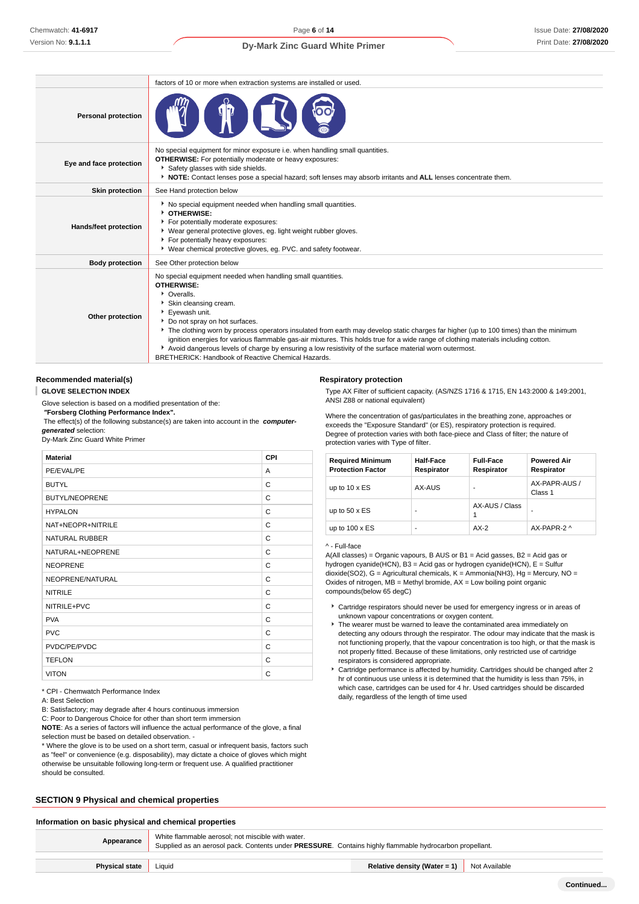| <b>Dy-Mark Zinc Guard White Primer</b> |  |  |  |  |
|----------------------------------------|--|--|--|--|
|----------------------------------------|--|--|--|--|

|                            | factors of 10 or more when extraction systems are installed or used.                                                                                                                                                                                                                                                                                                                                                                                                                                                                                                                                                     |  |  |  |
|----------------------------|--------------------------------------------------------------------------------------------------------------------------------------------------------------------------------------------------------------------------------------------------------------------------------------------------------------------------------------------------------------------------------------------------------------------------------------------------------------------------------------------------------------------------------------------------------------------------------------------------------------------------|--|--|--|
| <b>Personal protection</b> |                                                                                                                                                                                                                                                                                                                                                                                                                                                                                                                                                                                                                          |  |  |  |
| Eye and face protection    | No special equipment for minor exposure i.e. when handling small quantities.<br><b>OTHERWISE:</b> For potentially moderate or heavy exposures:<br>Safety glasses with side shields.<br>▶ NOTE: Contact lenses pose a special hazard; soft lenses may absorb irritants and ALL lenses concentrate them.                                                                                                                                                                                                                                                                                                                   |  |  |  |
| <b>Skin protection</b>     | See Hand protection below                                                                                                                                                                                                                                                                                                                                                                                                                                                                                                                                                                                                |  |  |  |
| Hands/feet protection      | No special equipment needed when handling small quantities.<br><b>DIHERWISE:</b><br>For potentially moderate exposures:<br>▶ Wear general protective gloves, eg. light weight rubber gloves.<br>For potentially heavy exposures:<br>* Wear chemical protective gloves, eq. PVC. and safety footwear.                                                                                                                                                                                                                                                                                                                     |  |  |  |
| <b>Body protection</b>     | See Other protection below                                                                                                                                                                                                                                                                                                                                                                                                                                                                                                                                                                                               |  |  |  |
| Other protection           | No special equipment needed when handling small quantities.<br><b>OTHERWISE:</b><br>• Overalls.<br>Skin cleansing cream.<br>Eyewash unit.<br>Do not spray on hot surfaces.<br>The clothing worn by process operators insulated from earth may develop static charges far higher (up to 100 times) than the minimum<br>ignition energies for various flammable gas-air mixtures. This holds true for a wide range of clothing materials including cotton.<br>Avoid dangerous levels of charge by ensuring a low resistivity of the surface material worn outermost.<br>BRETHERICK: Handbook of Reactive Chemical Hazards. |  |  |  |

# **Recommended material(s)**

**GLOVE SELECTION INDEX**

Glove selection is based on a modified presentation of the:

 **"Forsberg Clothing Performance Index".**

 The effect(s) of the following substance(s) are taken into account in the **computergenerated** selection:

Dy-Mark Zinc Guard White Primer

| <b>Material</b>       | CPI |
|-----------------------|-----|
| PE/EVAL/PE            | A   |
| <b>BUTYL</b>          | C   |
| <b>BUTYL/NEOPRENE</b> | C   |
| <b>HYPALON</b>        | C   |
| NAT+NEOPR+NITRILE     | С   |
| <b>NATURAL RUBBER</b> | C   |
| NATURAL+NEOPRENE      | C   |
| <b>NEOPRENE</b>       | C   |
| NEOPRENE/NATURAL      | C   |
| <b>NITRILE</b>        | C   |
| NITRILE+PVC           | C   |
| <b>PVA</b>            | C   |
| <b>PVC</b>            | C   |
| PVDC/PE/PVDC          | C   |
| <b>TEFLON</b>         | C   |
| <b>VITON</b>          | C   |

\* CPI - Chemwatch Performance Index

A: Best Selection

B: Satisfactory; may degrade after 4 hours continuous immersion

C: Poor to Dangerous Choice for other than short term immersion

**NOTE**: As a series of factors will influence the actual performance of the glove, a final selection must be based on detailed observation -

\* Where the glove is to be used on a short term, casual or infrequent basis, factors such as "feel" or convenience (e.g. disposability), may dictate a choice of gloves which might otherwise be unsuitable following long-term or frequent use. A qualified practitioner should be consulted.

#### **SECTION 9 Physical and chemical properties**

#### **Information on basic physical and chemical properties**

**Appearance** White flammable aerosol; not miscible with water. Supplied as an aerosol pack. Contents under **PRESSURE**. Contains highly flammable hydrocarbon propellant. **Physical state** Liquid **Relative density (Water = 1)** Not Available

#### **Respiratory protection**

Type AX Filter of sufficient capacity. (AS/NZS 1716 & 1715, EN 143:2000 & 149:2001, ANSI Z88 or national equivalent)

Where the concentration of gas/particulates in the breathing zone, approaches or exceeds the "Exposure Standard" (or ES), respiratory protection is required. Degree of protection varies with both face-piece and Class of filter; the nature of protection varies with Type of filter.

| <b>Required Minimum</b><br><b>Protection Factor</b> | <b>Half-Face</b><br>Respirator | <b>Full-Face</b><br>Respirator | <b>Powered Air</b><br>Respirator |
|-----------------------------------------------------|--------------------------------|--------------------------------|----------------------------------|
| up to $10 \times ES$                                | AX-AUS                         |                                | AX-PAPR-AUS /<br>Class 1         |
| up to $50 \times ES$                                |                                | AX-AUS / Class                 |                                  |
| up to $100 \times ES$                               | -                              | $AX-2$                         | AX-PAPR-2 ^                      |

#### ^ - Full-face

A(All classes) = Organic vapours, B AUS or  $B1$  = Acid gasses,  $B2$  = Acid gas or hydrogen cyanide(HCN), B3 = Acid gas or hydrogen cyanide(HCN), E = Sulfur dioxide(SO2), G = Agricultural chemicals, K = Ammonia(NH3), Hg = Mercury, NO = Oxides of nitrogen,  $MB =$  Methyl bromide,  $AX =$  Low boiling point organic compounds(below 65 degC)

- Cartridge respirators should never be used for emergency ingress or in areas of unknown vapour concentrations or oxygen content.
- The wearer must be warned to leave the contaminated area immediately on detecting any odours through the respirator. The odour may indicate that the mask is not functioning properly, that the vapour concentration is too high, or that the mask is not properly fitted. Because of these limitations, only restricted use of cartridge respirators is considered appropriate.
- Cartridge performance is affected by humidity. Cartridges should be changed after 2 hr of continuous use unless it is determined that the humidity is less than 75%, in which case, cartridges can be used for 4 hr. Used cartridges should be discarded daily, regardless of the length of time used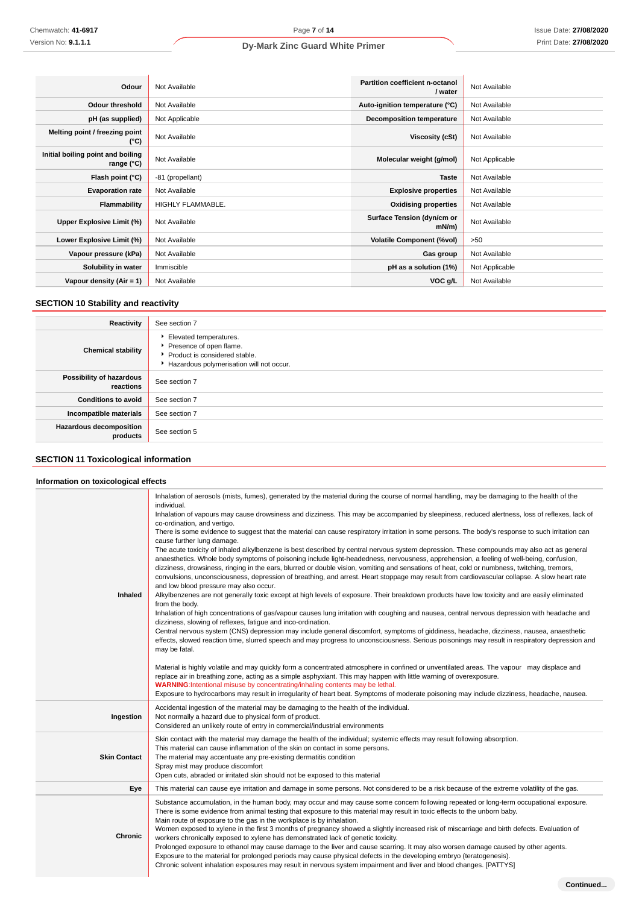| Odour                                           | Not Available     | <b>Partition coefficient n-octanol</b><br>/ water | Not Available  |
|-------------------------------------------------|-------------------|---------------------------------------------------|----------------|
| <b>Odour threshold</b>                          | Not Available     | Auto-ignition temperature (°C)                    | Not Available  |
| pH (as supplied)                                | Not Applicable    | <b>Decomposition temperature</b>                  | Not Available  |
| Melting point / freezing point<br>(°C)          | Not Available     | Viscosity (cSt)                                   | Not Available  |
| Initial boiling point and boiling<br>range (°C) | Not Available     | Molecular weight (g/mol)                          | Not Applicable |
| Flash point (°C)                                | -81 (propellant)  | <b>Taste</b>                                      | Not Available  |
| <b>Evaporation rate</b>                         | Not Available     | <b>Explosive properties</b>                       | Not Available  |
| <b>Flammability</b>                             | HIGHLY FLAMMABLE. | <b>Oxidising properties</b>                       | Not Available  |
| Upper Explosive Limit (%)                       | Not Available     | Surface Tension (dyn/cm or<br>mN/m                | Not Available  |
| Lower Explosive Limit (%)                       | Not Available     | <b>Volatile Component (%vol)</b>                  | >50            |
| Vapour pressure (kPa)                           | Not Available     | Gas group                                         | Not Available  |
| Solubility in water                             | Immiscible        | pH as a solution (1%)                             | Not Applicable |
| Vapour density (Air = 1)                        | Not Available     | VOC g/L                                           | Not Available  |

# **SECTION 10 Stability and reactivity**

| Reactivity                                 | See section 7                                                                                                                    |
|--------------------------------------------|----------------------------------------------------------------------------------------------------------------------------------|
| <b>Chemical stability</b>                  | Elevated temperatures.<br>Presence of open flame.<br>▶ Product is considered stable.<br>Hazardous polymerisation will not occur. |
| Possibility of hazardous<br>reactions      | See section 7                                                                                                                    |
| <b>Conditions to avoid</b>                 | See section 7                                                                                                                    |
| Incompatible materials                     | See section 7                                                                                                                    |
| <b>Hazardous decomposition</b><br>products | See section 5                                                                                                                    |

# **SECTION 11 Toxicological information**

# **Information on toxicological effects**

| Inhaled             | Inhalation of aerosols (mists, fumes), generated by the material during the course of normal handling, may be damaging to the health of the<br>individual.<br>Inhalation of vapours may cause drowsiness and dizziness. This may be accompanied by sleepiness, reduced alertness, loss of reflexes, lack of<br>co-ordination, and vertigo.<br>There is some evidence to suggest that the material can cause respiratory irritation in some persons. The body's response to such irritation can<br>cause further lung damage.<br>The acute toxicity of inhaled alkylbenzene is best described by central nervous system depression. These compounds may also act as general<br>anaesthetics. Whole body symptoms of poisoning include light-headedness, nervousness, apprehension, a feeling of well-being, confusion,<br>dizziness, drowsiness, ringing in the ears, blurred or double vision, vomiting and sensations of heat, cold or numbness, twitching, tremors,<br>convulsions, unconsciousness, depression of breathing, and arrest. Heart stoppage may result from cardiovascular collapse. A slow heart rate<br>and low blood pressure may also occur.<br>Alkylbenzenes are not generally toxic except at high levels of exposure. Their breakdown products have low toxicity and are easily eliminated<br>from the body.<br>Inhalation of high concentrations of gas/vapour causes lung irritation with coughing and nausea, central nervous depression with headache and<br>dizziness, slowing of reflexes, fatigue and inco-ordination.<br>Central nervous system (CNS) depression may include general discomfort, symptoms of giddiness, headache, dizziness, nausea, anaesthetic<br>effects, slowed reaction time, slurred speech and may progress to unconsciousness. Serious poisonings may result in respiratory depression and<br>may be fatal.<br>Material is highly volatile and may quickly form a concentrated atmosphere in confined or unventilated areas. The vapour may displace and<br>replace air in breathing zone, acting as a simple asphyxiant. This may happen with little warning of overexposure.<br>WARNING: Intentional misuse by concentrating/inhaling contents may be lethal.<br>Exposure to hydrocarbons may result in irregularity of heart beat. Symptoms of moderate poisoning may include dizziness, headache, nausea. |
|---------------------|---------------------------------------------------------------------------------------------------------------------------------------------------------------------------------------------------------------------------------------------------------------------------------------------------------------------------------------------------------------------------------------------------------------------------------------------------------------------------------------------------------------------------------------------------------------------------------------------------------------------------------------------------------------------------------------------------------------------------------------------------------------------------------------------------------------------------------------------------------------------------------------------------------------------------------------------------------------------------------------------------------------------------------------------------------------------------------------------------------------------------------------------------------------------------------------------------------------------------------------------------------------------------------------------------------------------------------------------------------------------------------------------------------------------------------------------------------------------------------------------------------------------------------------------------------------------------------------------------------------------------------------------------------------------------------------------------------------------------------------------------------------------------------------------------------------------------------------------------------------------------------------------------------------------------------------------------------------------------------------------------------------------------------------------------------------------------------------------------------------------------------------------------------------------------------------------------------------------------------------------------------------------------------------------------------------------------------------------------------------------|
| Ingestion           | Accidental ingestion of the material may be damaging to the health of the individual.<br>Not normally a hazard due to physical form of product.<br>Considered an unlikely route of entry in commercial/industrial environments                                                                                                                                                                                                                                                                                                                                                                                                                                                                                                                                                                                                                                                                                                                                                                                                                                                                                                                                                                                                                                                                                                                                                                                                                                                                                                                                                                                                                                                                                                                                                                                                                                                                                                                                                                                                                                                                                                                                                                                                                                                                                                                                      |
| <b>Skin Contact</b> | Skin contact with the material may damage the health of the individual; systemic effects may result following absorption.<br>This material can cause inflammation of the skin on contact in some persons.<br>The material may accentuate any pre-existing dermatitis condition<br>Spray mist may produce discomfort<br>Open cuts, abraded or irritated skin should not be exposed to this material                                                                                                                                                                                                                                                                                                                                                                                                                                                                                                                                                                                                                                                                                                                                                                                                                                                                                                                                                                                                                                                                                                                                                                                                                                                                                                                                                                                                                                                                                                                                                                                                                                                                                                                                                                                                                                                                                                                                                                  |
| Eye                 | This material can cause eye irritation and damage in some persons. Not considered to be a risk because of the extreme volatility of the gas.                                                                                                                                                                                                                                                                                                                                                                                                                                                                                                                                                                                                                                                                                                                                                                                                                                                                                                                                                                                                                                                                                                                                                                                                                                                                                                                                                                                                                                                                                                                                                                                                                                                                                                                                                                                                                                                                                                                                                                                                                                                                                                                                                                                                                        |
| <b>Chronic</b>      | Substance accumulation, in the human body, may occur and may cause some concern following repeated or long-term occupational exposure.<br>There is some evidence from animal testing that exposure to this material may result in toxic effects to the unborn baby.<br>Main route of exposure to the gas in the workplace is by inhalation.<br>Women exposed to xylene in the first 3 months of pregnancy showed a slightly increased risk of miscarriage and birth defects. Evaluation of<br>workers chronically exposed to xylene has demonstrated lack of genetic toxicity.<br>Prolonged exposure to ethanol may cause damage to the liver and cause scarring. It may also worsen damage caused by other agents.<br>Exposure to the material for prolonged periods may cause physical defects in the developing embryo (teratogenesis).<br>Chronic solvent inhalation exposures may result in nervous system impairment and liver and blood changes. [PATTYS]                                                                                                                                                                                                                                                                                                                                                                                                                                                                                                                                                                                                                                                                                                                                                                                                                                                                                                                                                                                                                                                                                                                                                                                                                                                                                                                                                                                                    |

**Continued...**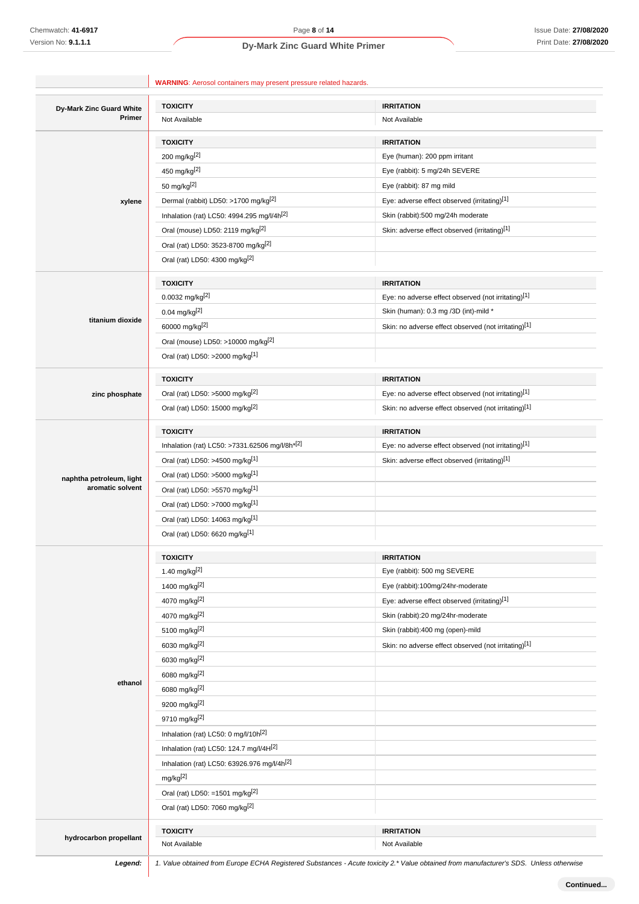| Dy-Mark Zinc Guard White                     | <b>TOXICITY</b>                                                                           | <b>IRRITATION</b>                                    |
|----------------------------------------------|-------------------------------------------------------------------------------------------|------------------------------------------------------|
| Primer                                       | Not Available                                                                             | Not Available                                        |
|                                              | <b>TOXICITY</b>                                                                           | <b>IRRITATION</b>                                    |
|                                              | 200 mg/kg[2]                                                                              | Eye (human): 200 ppm irritant                        |
|                                              | 450 mg/kg <sup>[2]</sup>                                                                  | Eye (rabbit): 5 mg/24h SEVERE                        |
|                                              | 50 mg/kg[2]                                                                               | Eye (rabbit): 87 mg mild                             |
| xylene                                       | Dermal (rabbit) LD50: >1700 mg/kg <sup>[2]</sup>                                          | Eye: adverse effect observed (irritating)[1]         |
|                                              | Inhalation (rat) LC50: 4994.295 mg/l/4h <sup>[2]</sup>                                    | Skin (rabbit):500 mg/24h moderate                    |
|                                              | Oral (mouse) LD50: 2119 mg/kg <sup>[2]</sup>                                              | Skin: adverse effect observed (irritating)[1]        |
|                                              | Oral (rat) LD50: 3523-8700 mg/kg <sup>[2]</sup>                                           |                                                      |
|                                              | Oral (rat) LD50: 4300 mg/kg <sup>[2]</sup>                                                |                                                      |
|                                              | <b>TOXICITY</b>                                                                           | <b>IRRITATION</b>                                    |
|                                              | $0.0032$ mg/kg <sup>[2]</sup>                                                             | Eye: no adverse effect observed (not irritating)[1]  |
|                                              | 0.04 mg/kg <sup>[2]</sup>                                                                 | Skin (human): 0.3 mg /3D (int)-mild *                |
| titanium dioxide                             | 60000 mg/kg[2]                                                                            | Skin: no adverse effect observed (not irritating)[1] |
|                                              | Oral (mouse) LD50: >10000 mg/kg <sup>[2]</sup>                                            |                                                      |
|                                              | Oral (rat) LD50: >2000 mg/kg[1]                                                           |                                                      |
|                                              | <b>TOXICITY</b>                                                                           | <b>IRRITATION</b>                                    |
| zinc phosphate                               | Oral (rat) LD50: >5000 mg/kg[2]                                                           | Eye: no adverse effect observed (not irritating)[1]  |
|                                              | Oral (rat) LD50: 15000 mg/kg <sup>[2]</sup>                                               | Skin: no adverse effect observed (not irritating)[1] |
|                                              | <b>TOXICITY</b>                                                                           | <b>IRRITATION</b>                                    |
|                                              | Inhalation (rat) LC50: >7331.62506 mg/l/8h*[2]                                            | Eye: no adverse effect observed (not irritating)[1]  |
|                                              | Oral (rat) LD50: >4500 mg/kg[1]                                                           | Skin: adverse effect observed (irritating)[1]        |
|                                              | Oral (rat) LD50: >5000 mg/kg[1]                                                           |                                                      |
| naphtha petroleum, light<br>aromatic solvent | Oral (rat) LD50: >5570 mg/kg[1]                                                           |                                                      |
|                                              | Oral (rat) LD50: >7000 mg/kg[1]                                                           |                                                      |
|                                              | Oral (rat) LD50: 14063 mg/kg <sup>[1]</sup>                                               |                                                      |
|                                              | Oral (rat) LD50: 6620 mg/kg[1]                                                            |                                                      |
|                                              | <b>TOXICITY</b>                                                                           | <b>IRRITATION</b>                                    |
|                                              | 1.40 mg/kg $[2]$                                                                          | Eye (rabbit): 500 mg SEVERE                          |
|                                              | 1400 mg/kg[2]                                                                             | Eye (rabbit):100mg/24hr-moderate                     |
|                                              | 4070 mg/kg[2]                                                                             | Eye: adverse effect observed (irritating)[1]         |
|                                              | 4070 mg/kg[2]                                                                             | Skin (rabbit):20 mg/24hr-moderate                    |
|                                              | 5100 mg/kg <sup>[2]</sup>                                                                 | Skin (rabbit):400 mg (open)-mild                     |
|                                              | 6030 mg/kg[2]                                                                             | Skin: no adverse effect observed (not irritating)[1] |
|                                              | 6030 mg/kg[2]                                                                             |                                                      |
|                                              | 6080 mg/kg[2]                                                                             |                                                      |
| ethanol                                      | 6080 mg/kg[2]                                                                             |                                                      |
|                                              | 9200 mg/kg[2]                                                                             |                                                      |
|                                              | 9710 mg/kg[2]                                                                             |                                                      |
|                                              | Inhalation (rat) LC50: 0 mg/l/10h <sup>[2]</sup>                                          |                                                      |
|                                              | Inhalation (rat) LC50: 124.7 mg/l/4H[2]                                                   |                                                      |
|                                              | Inhalation (rat) LC50: 63926.976 mg/l/4h <sup>[2]</sup>                                   |                                                      |
|                                              | mg/kg <sup>[2]</sup>                                                                      |                                                      |
|                                              |                                                                                           |                                                      |
|                                              | Oral (rat) LD50: =1501 mg/kg <sup>[2]</sup><br>Oral (rat) LD50: 7060 mg/kg <sup>[2]</sup> |                                                      |
|                                              |                                                                                           |                                                      |
|                                              | <b>TOXICITY</b>                                                                           | <b>IRRITATION</b>                                    |

Legend: 1. Value obtained from Europe ECHA Registered Substances - Acute toxicity 2.\* Value obtained from manufacturer's SDS. Unless otherwise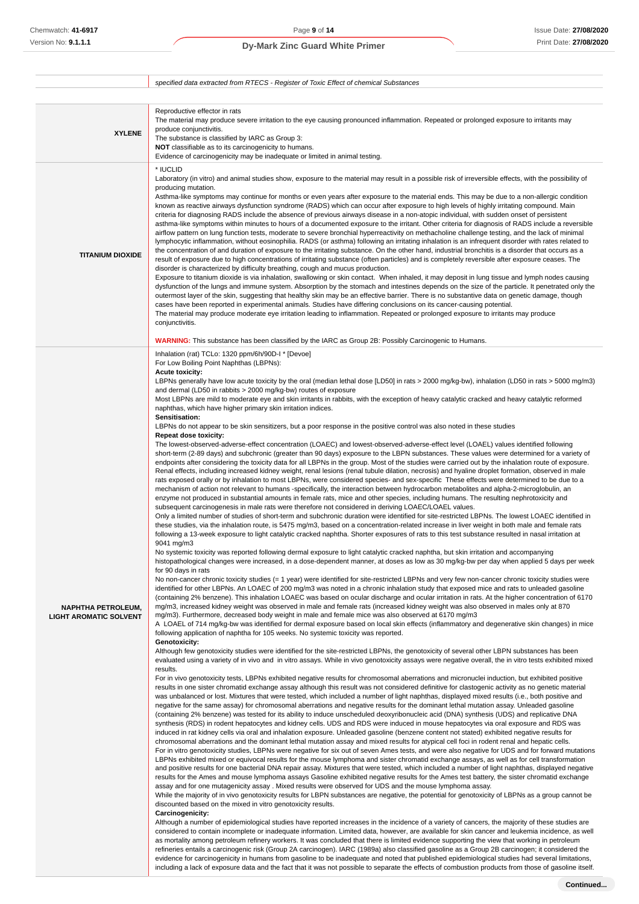|                                                            | specified data extracted from RTECS - Register of Toxic Effect of chemical Substances                                                                                                                                                                                                                                                                                                                                                                                                                                                                                                                                                                                                                                                                                                                                                                                                                                                                                                                                                                                                                                                                                                                                                                                                                                                                                                                                                                                                                                                                                                                                                                                                                                                                                                                                                                                                                                                                                                                                                                                                                                                                                                                                                                                                                                                                                                                                                                                                                                                                                                                                                                                                                                                                                                                                                                                                                                                                                                                                                                                                                                                                                                                                                                                                                                                                                                                                                                                                                                                                                                                                                                                                                                                                                                                                                                                                                                                                                                                                                                                                                                                                                                                                                                                                                                                                                                                                                                                                                                                                                                                                                                                                                                                                                                                                                                                                                                                                                                                                                                                                                                                                                                                                                                                                                                                                                                                                                                                                                                                                                                                                                                                                                                                                                                                                                                                                                                                                                                                                                                                                                                                                                                                                                                                                                                                                                                                                                                                                                                                                                                                                                                                                                                                                                                                                                                                         |
|------------------------------------------------------------|-------------------------------------------------------------------------------------------------------------------------------------------------------------------------------------------------------------------------------------------------------------------------------------------------------------------------------------------------------------------------------------------------------------------------------------------------------------------------------------------------------------------------------------------------------------------------------------------------------------------------------------------------------------------------------------------------------------------------------------------------------------------------------------------------------------------------------------------------------------------------------------------------------------------------------------------------------------------------------------------------------------------------------------------------------------------------------------------------------------------------------------------------------------------------------------------------------------------------------------------------------------------------------------------------------------------------------------------------------------------------------------------------------------------------------------------------------------------------------------------------------------------------------------------------------------------------------------------------------------------------------------------------------------------------------------------------------------------------------------------------------------------------------------------------------------------------------------------------------------------------------------------------------------------------------------------------------------------------------------------------------------------------------------------------------------------------------------------------------------------------------------------------------------------------------------------------------------------------------------------------------------------------------------------------------------------------------------------------------------------------------------------------------------------------------------------------------------------------------------------------------------------------------------------------------------------------------------------------------------------------------------------------------------------------------------------------------------------------------------------------------------------------------------------------------------------------------------------------------------------------------------------------------------------------------------------------------------------------------------------------------------------------------------------------------------------------------------------------------------------------------------------------------------------------------------------------------------------------------------------------------------------------------------------------------------------------------------------------------------------------------------------------------------------------------------------------------------------------------------------------------------------------------------------------------------------------------------------------------------------------------------------------------------------------------------------------------------------------------------------------------------------------------------------------------------------------------------------------------------------------------------------------------------------------------------------------------------------------------------------------------------------------------------------------------------------------------------------------------------------------------------------------------------------------------------------------------------------------------------------------------------------------------------------------------------------------------------------------------------------------------------------------------------------------------------------------------------------------------------------------------------------------------------------------------------------------------------------------------------------------------------------------------------------------------------------------------------------------------------------------------------------------------------------------------------------------------------------------------------------------------------------------------------------------------------------------------------------------------------------------------------------------------------------------------------------------------------------------------------------------------------------------------------------------------------------------------------------------------------------------------------------------------------------------------------------------------------------------------------------------------------------------------------------------------------------------------------------------------------------------------------------------------------------------------------------------------------------------------------------------------------------------------------------------------------------------------------------------------------------------------------------------------------------------------------------------------------------------------------------------------------------------------------------------------------------------------------------------------------------------------------------------------------------------------------------------------------------------------------------------------------------------------------------------------------------------------------------------------------------------------------------------------------------------------------------------------------------------------------------------------------------------------------------------------------------------------------------------------------------------------------------------------------------------------------------------------------------------------------------------------------------------------------------------------------------------------------------------------------------------------------------------------------------------------------------------------------------------------------------------------|
|                                                            |                                                                                                                                                                                                                                                                                                                                                                                                                                                                                                                                                                                                                                                                                                                                                                                                                                                                                                                                                                                                                                                                                                                                                                                                                                                                                                                                                                                                                                                                                                                                                                                                                                                                                                                                                                                                                                                                                                                                                                                                                                                                                                                                                                                                                                                                                                                                                                                                                                                                                                                                                                                                                                                                                                                                                                                                                                                                                                                                                                                                                                                                                                                                                                                                                                                                                                                                                                                                                                                                                                                                                                                                                                                                                                                                                                                                                                                                                                                                                                                                                                                                                                                                                                                                                                                                                                                                                                                                                                                                                                                                                                                                                                                                                                                                                                                                                                                                                                                                                                                                                                                                                                                                                                                                                                                                                                                                                                                                                                                                                                                                                                                                                                                                                                                                                                                                                                                                                                                                                                                                                                                                                                                                                                                                                                                                                                                                                                                                                                                                                                                                                                                                                                                                                                                                                                                                                                                                               |
| <b>XYLENE</b>                                              | Reproductive effector in rats<br>The material may produce severe irritation to the eye causing pronounced inflammation. Repeated or prolonged exposure to irritants may<br>produce conjunctivitis.<br>The substance is classified by IARC as Group 3:<br>NOT classifiable as to its carcinogenicity to humans.<br>Evidence of carcinogenicity may be inadequate or limited in animal testing.                                                                                                                                                                                                                                                                                                                                                                                                                                                                                                                                                                                                                                                                                                                                                                                                                                                                                                                                                                                                                                                                                                                                                                                                                                                                                                                                                                                                                                                                                                                                                                                                                                                                                                                                                                                                                                                                                                                                                                                                                                                                                                                                                                                                                                                                                                                                                                                                                                                                                                                                                                                                                                                                                                                                                                                                                                                                                                                                                                                                                                                                                                                                                                                                                                                                                                                                                                                                                                                                                                                                                                                                                                                                                                                                                                                                                                                                                                                                                                                                                                                                                                                                                                                                                                                                                                                                                                                                                                                                                                                                                                                                                                                                                                                                                                                                                                                                                                                                                                                                                                                                                                                                                                                                                                                                                                                                                                                                                                                                                                                                                                                                                                                                                                                                                                                                                                                                                                                                                                                                                                                                                                                                                                                                                                                                                                                                                                                                                                                                                 |
| <b>TITANIUM DIOXIDE</b>                                    | * IUCLID<br>Laboratory (in vitro) and animal studies show, exposure to the material may result in a possible risk of irreversible effects, with the possibility of<br>producing mutation.<br>Asthma-like symptoms may continue for months or even years after exposure to the material ends. This may be due to a non-allergic condition<br>known as reactive airways dysfunction syndrome (RADS) which can occur after exposure to high levels of highly irritating compound. Main<br>criteria for diagnosing RADS include the absence of previous airways disease in a non-atopic individual, with sudden onset of persistent<br>asthma-like symptoms within minutes to hours of a documented exposure to the irritant. Other criteria for diagnosis of RADS include a reversible<br>airflow pattern on lung function tests, moderate to severe bronchial hyperreactivity on methacholine challenge testing, and the lack of minimal<br>lymphocytic inflammation, without eosinophilia. RADS (or asthma) following an irritating inhalation is an infrequent disorder with rates related to<br>the concentration of and duration of exposure to the irritating substance. On the other hand, industrial bronchitis is a disorder that occurs as a<br>result of exposure due to high concentrations of irritating substance (often particles) and is completely reversible after exposure ceases. The<br>disorder is characterized by difficulty breathing, cough and mucus production.<br>Exposure to titanium dioxide is via inhalation, swallowing or skin contact. When inhaled, it may deposit in lung tissue and lymph nodes causing<br>dysfunction of the lungs and immune system. Absorption by the stomach and intestines depends on the size of the particle. It penetrated only the<br>outermost layer of the skin, suggesting that healthy skin may be an effective barrier. There is no substantive data on genetic damage, though<br>cases have been reported in experimental animals. Studies have differing conclusions on its cancer-causing potential.<br>The material may produce moderate eye irritation leading to inflammation. Repeated or prolonged exposure to irritants may produce<br>conjunctivitis.<br><b>WARNING:</b> This substance has been classified by the IARC as Group 2B: Possibly Carcinogenic to Humans.                                                                                                                                                                                                                                                                                                                                                                                                                                                                                                                                                                                                                                                                                                                                                                                                                                                                                                                                                                                                                                                                                                                                                                                                                                                                                                                                                                                                                                                                                                                                                                                                                                                                                                                                                                                                                                                                                                                                                                                                                                                                                                                                                                                                                                                                                                                                                                                                                                                                                                                                                                                                                                                                                                                                                                                                                                                                                                                                                                                                                                                                                                                                                                                                                                                                                                                                                                                                                                                                                                                                                                                                                                                                                                                                                                                                                                                                                                                                                                                                                                                                                                                                                                                                                                                                                                                                                                                                                                                                                                                             |
| <b>NAPHTHA PETROLEUM,</b><br><b>LIGHT AROMATIC SOLVENT</b> | Inhalation (rat) TCLo: 1320 ppm/6h/90D-I * [Devoe]<br>For Low Boiling Point Naphthas (LBPNs):<br><b>Acute toxicity:</b><br>LBPNs generally have low acute toxicity by the oral (median lethal dose [LD50] in rats > 2000 mg/kg-bw), inhalation (LD50 in rats > 5000 mg/m3)<br>and dermal (LD50 in rabbits > 2000 mg/kg-bw) routes of exposure<br>Most LBPNs are mild to moderate eye and skin irritants in rabbits, with the exception of heavy catalytic cracked and heavy catalytic reformed<br>naphthas, which have higher primary skin irritation indices.<br>Sensitisation:<br>LBPNs do not appear to be skin sensitizers, but a poor response in the positive control was also noted in these studies<br><b>Repeat dose toxicity:</b><br>The lowest-observed-adverse-effect concentration (LOAEC) and lowest-observed-adverse-effect level (LOAEL) values identified following<br>short-term (2-89 days) and subchronic (greater than 90 days) exposure to the LBPN substances. These values were determined for a variety of<br>endpoints after considering the toxicity data for all LBPNs in the group. Most of the studies were carried out by the inhalation route of exposure.<br>Renal effects, including increased kidney weight, renal lesions (renal tubule dilation, necrosis) and hyaline droplet formation, observed in male<br>rats exposed orally or by inhalation to most LBPNs, were considered species- and sex-specific These effects were determined to be due to a<br>mechanism of action not relevant to humans -specifically, the interaction between hydrocarbon metabolites and alpha-2-microglobulin, an<br>enzyme not produced in substantial amounts in female rats, mice and other species, including humans. The resulting nephrotoxicity and<br>subsequent carcinogenesis in male rats were therefore not considered in deriving LOAEC/LOAEL values.<br>Only a limited number of studies of short-term and subchronic duration were identified for site-restricted LBPNs. The lowest LOAEC identified in<br>these studies, via the inhalation route, is 5475 mg/m3, based on a concentration-related increase in liver weight in both male and female rats<br>following a 13-week exposure to light catalytic cracked naphtha. Shorter exposures of rats to this test substance resulted in nasal irritation at<br>9041 mg/m3<br>No systemic toxicity was reported following dermal exposure to light catalytic cracked naphtha, but skin irritation and accompanying<br>histopathological changes were increased, in a dose-dependent manner, at doses as low as 30 mg/kg-bw per day when applied 5 days per week<br>for 90 days in rats<br>No non-cancer chronic toxicity studies (= 1 year) were identified for site-restricted LBPNs and very few non-cancer chronic toxicity studies were<br>identified for other LBPNs. An LOAEC of 200 mg/m3 was noted in a chronic inhalation study that exposed mice and rats to unleaded gasoline<br>(containing 2% benzene). This inhalation LOAEC was based on ocular discharge and ocular irritation in rats. At the higher concentration of 6170<br>mg/m3, increased kidney weight was observed in male and female rats (increased kidney weight was also observed in males only at 870<br>mg/m3). Furthermore, decreased body weight in male and female mice was also observed at 6170 mg/m3<br>A LOAEL of 714 mg/kg-bw was identified for dermal exposure based on local skin effects (inflammatory and degenerative skin changes) in mice<br>following application of naphtha for 105 weeks. No systemic toxicity was reported.<br>Genotoxicity:<br>Although few genotoxicity studies were identified for the site-restricted LBPNs, the genotoxicity of several other LBPN substances has been<br>evaluated using a variety of in vivo and in vitro assays. While in vivo genotoxicity assays were negative overall, the in vitro tests exhibited mixed<br>results.<br>For in vivo genotoxicity tests, LBPNs exhibited negative results for chromosomal aberrations and micronuclei induction, but exhibited positive<br>results in one sister chromatid exchange assay although this result was not considered definitive for clastogenic activity as no genetic material<br>was unbalanced or lost. Mixtures that were tested, which included a number of light naphthas, displayed mixed results (i.e., both positive and<br>negative for the same assay) for chromosomal aberrations and negative results for the dominant lethal mutation assay. Unleaded gasoline<br>(containing 2% benzene) was tested for its ability to induce unscheduled deoxyribonucleic acid (DNA) synthesis (UDS) and replicative DNA<br>synthesis (RDS) in rodent hepatocytes and kidney cells. UDS and RDS were induced in mouse hepatocytes via oral exposure and RDS was<br>induced in rat kidney cells via oral and inhalation exposure. Unleaded gasoline (benzene content not stated) exhibited negative results for<br>chromosomal aberrations and the dominant lethal mutation assay and mixed results for atypical cell foci in rodent renal and hepatic cells.<br>For in vitro genotoxicity studies, LBPNs were negative for six out of seven Ames tests, and were also negative for UDS and for forward mutations<br>LBPNs exhibited mixed or equivocal results for the mouse lymphoma and sister chromatid exchange assays, as well as for cell transformation<br>and positive results for one bacterial DNA repair assay. Mixtures that were tested, which included a number of light naphthas, displayed negative<br>results for the Ames and mouse lymphoma assays Gasoline exhibited negative results for the Ames test battery, the sister chromatid exchange<br>assay and for one mutagenicity assay. Mixed results were observed for UDS and the mouse lymphoma assay.<br>While the majority of in vivo genotoxicity results for LBPN substances are negative, the potential for genotoxicity of LBPNs as a group cannot be<br>discounted based on the mixed in vitro genotoxicity results.<br><b>Carcinogenicity:</b><br>Although a number of epidemiological studies have reported increases in the incidence of a variety of cancers, the majority of these studies are<br>considered to contain incomplete or inadequate information. Limited data, however, are available for skin cancer and leukemia incidence, as well<br>as mortality among petroleum refinery workers. It was concluded that there is limited evidence supporting the view that working in petroleum<br>refineries entails a carcinogenic risk (Group 2A carcinogen). IARC (1989a) also classified gasoline as a Group 2B carcinogen; it considered the<br>evidence for carcinogenicity in humans from gasoline to be inadequate and noted that published epidemiological studies had several limitations, |

including a lack of exposure data and the fact that it was not possible to separate the effects of combustion products from those of gasoline itself.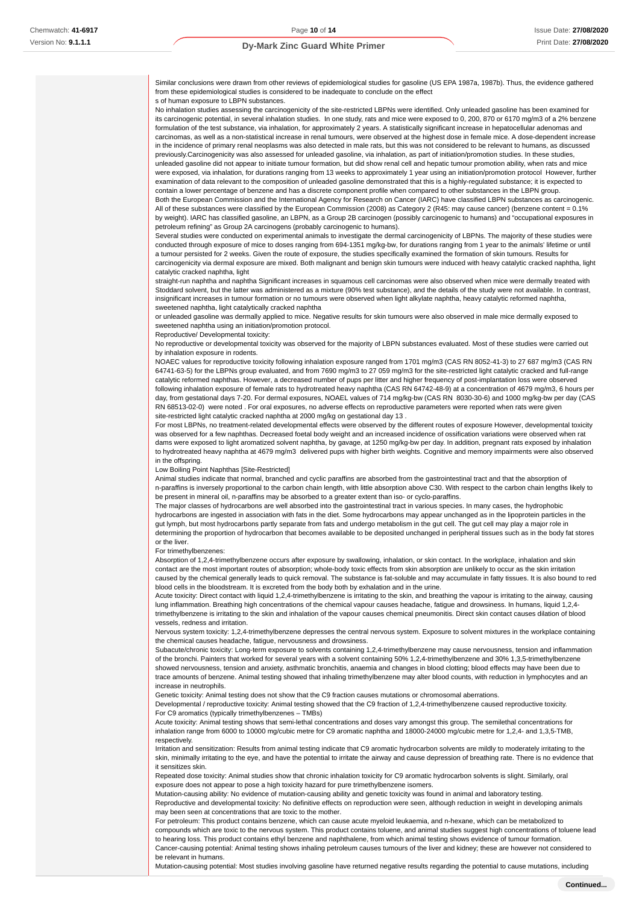Similar conclusions were drawn from other reviews of epidemiological studies for gasoline (US EPA 1987a, 1987b). Thus, the evidence gathered from these epidemiological studies is considered to be inadequate to conclude on the effect s of human exposure to LBPN substances.

No inhalation studies assessing the carcinogenicity of the site-restricted LBPNs were identified. Only unleaded gasoline has been examined for its carcinogenic potential, in several inhalation studies. In one study, rats and mice were exposed to 0, 200, 870 or 6170 mg/m3 of a 2% benzene formulation of the test substance, via inhalation, for approximately 2 years. A statistically significant increase in hepatocellular adenomas and carcinomas, as well as a non-statistical increase in renal tumours, were observed at the highest dose in female mice. A dose-dependent increase in the incidence of primary renal neoplasms was also detected in male rats, but this was not considered to be relevant to humans, as discussed previously.Carcinogenicity was also assessed for unleaded gasoline, via inhalation, as part of initiation/promotion studies. In these studies, unleaded gasoline did not appear to initiate tumour formation, but did show renal cell and hepatic tumour promotion ability, when rats and mice

were exposed, via inhalation, for durations ranging from 13 weeks to approximately 1 year using an initiation/promotion protocol However, further examination of data relevant to the composition of unleaded gasoline demonstrated that this is a highly-regulated substance; it is expected to contain a lower percentage of benzene and has a discrete component profile when compared to other substances in the LBPN group.

Both the European Commission and the International Agency for Research on Cancer (IARC) have classified LBPN substances as carcinogenic. All of these substances were classified by the European Commission (2008) as Category 2 (R45: may cause cancer) (benzene content = 0.1% by weight). IARC has classified gasoline, an LBPN, as a Group 2B carcinogen (possibly carcinogenic to humans) and "occupational exposures in petroleum refining" as Group 2A carcinogens (probably carcinogenic to humans).

Several studies were conducted on experimental animals to investigate the dermal carcinogenicity of LBPNs. The majority of these studies were conducted through exposure of mice to doses ranging from 694-1351 mg/kg-bw, for durations ranging from 1 year to the animals' lifetime or until a tumour persisted for 2 weeks. Given the route of exposure, the studies specifically examined the formation of skin tumours. Results for carcinogenicity via dermal exposure are mixed. Both malignant and benign skin tumours were induced with heavy catalytic cracked naphtha, light catalytic cracked naphtha, light

straight-run naphtha and naphtha Significant increases in squamous cell carcinomas were also observed when mice were dermally treated with Stoddard solvent, but the latter was administered as a mixture (90% test substance), and the details of the study were not available. In contrast, insignificant increases in tumour formation or no tumours were observed when light alkylate naphtha, heavy catalytic reformed naphtha, sweetened naphtha, light catalytically cracked naphtha

or unleaded gasoline was dermally applied to mice. Negative results for skin tumours were also observed in male mice dermally exposed to sweetened naphtha using an initiation/promotion protocol.

Reproductive/ Developmental toxicity:

No reproductive or developmental toxicity was observed for the majority of LBPN substances evaluated. Most of these studies were carried out by inhalation exposure in rodents.

NOAEC values for reproductive toxicity following inhalation exposure ranged from 1701 mg/m3 (CAS RN 8052-41-3) to 27 687 mg/m3 (CAS RN 64741-63-5) for the LBPNs group evaluated, and from 7690 mg/m3 to 27 059 mg/m3 for the site-restricted light catalytic cracked and full-range catalytic reformed naphthas. However, a decreased number of pups per litter and higher frequency of post-implantation loss were observed following inhalation exposure of female rats to hydrotreated heavy naphtha (CAS RN 64742-48-9) at a concentration of 4679 mg/m3, 6 hours per day, from gestational days 7-20. For dermal exposures, NOAEL values of 714 mg/kg-bw (CAS RN 8030-30-6) and 1000 mg/kg-bw per day (CAS RN 68513-02-0) were noted . For oral exposures, no adverse effects on reproductive parameters were reported when rats were given site-restricted light catalytic cracked naphtha at 2000 mg/kg on gestational day 13 .

For most LBPNs, no treatment-related developmental effects were observed by the different routes of exposure However, developmental toxicity was observed for a few naphthas. Decreased foetal body weight and an increased incidence of ossification variations were observed when rat dams were exposed to light aromatized solvent naphtha, by gavage, at 1250 mg/kg-bw per day. In addition, pregnant rats exposed by inhalation to hydrotreated heavy naphtha at 4679 mg/m3 delivered pups with higher birth weights. Cognitive and memory impairments were also observed in the offspring.

#### Low Boiling Point Naphthas [Site-Restricted]

Animal studies indicate that normal, branched and cyclic paraffins are absorbed from the gastrointestinal tract and that the absorption of n-paraffins is inversely proportional to the carbon chain length, with little absorption above C30. With respect to the carbon chain lengths likely to be present in mineral oil, n-paraffins may be absorbed to a greater extent than iso- or cyclo-paraffins.

The major classes of hydrocarbons are well absorbed into the gastrointestinal tract in various species. In many cases, the hydrophobic hydrocarbons are ingested in association with fats in the diet. Some hydrocarbons may appear unchanged as in the lipoprotein particles in the gut lymph, but most hydrocarbons partly separate from fats and undergo metabolism in the gut cell. The gut cell may play a major role in determining the proportion of hydrocarbon that becomes available to be deposited unchanged in peripheral tissues such as in the body fat stores or the liver.

For trimethylbenzenes:

Absorption of 1,2,4-trimethylbenzene occurs after exposure by swallowing, inhalation, or skin contact. In the workplace, inhalation and skin contact are the most important routes of absorption; whole-body toxic effects from skin absorption are unlikely to occur as the skin irritation caused by the chemical generally leads to quick removal. The substance is fat-soluble and may accumulate in fatty tissues. It is also bound to red blood cells in the bloodstream. It is excreted from the body both by exhalation and in the urine.

Acute toxicity: Direct contact with liquid 1,2,4-trimethylbenzene is irritating to the skin, and breathing the vapour is irritating to the airway, causing lung inflammation. Breathing high concentrations of the chemical vapour causes headache, fatigue and drowsiness. In humans, liquid 1,2,4 trimethylbenzene is irritating to the skin and inhalation of the vapour causes chemical pneumonitis. Direct skin contact causes dilation of blood vessels, redness and irritation.

Nervous system toxicity: 1,2,4-trimethylbenzene depresses the central nervous system. Exposure to solvent mixtures in the workplace containing the chemical causes headache, fatigue, nervousness and drowsiness.

Subacute/chronic toxicity: Long-term exposure to solvents containing 1,2,4-trimethylbenzene may cause nervousness, tension and inflammation of the bronchi. Painters that worked for several years with a solvent containing 50% 1,2,4-trimethylbenzene and 30% 1,3,5-trimethylbenzene showed nervousness, tension and anxiety, asthmatic bronchitis, anaemia and changes in blood clotting; blood effects may have been due to trace amounts of benzene. Animal testing showed that inhaling trimethylbenzene may alter blood counts, with reduction in lymphocytes and an increase in neutrophils.

Genetic toxicity: Animal testing does not show that the C9 fraction causes mutations or chromosomal aberrations.

Developmental / reproductive toxicity: Animal testing showed that the C9 fraction of 1,2,4-trimethylbenzene caused reproductive toxicity. For C9 aromatics (typically trimethylbenzenes – TMBs)

Acute toxicity: Animal testing shows that semi-lethal concentrations and doses vary amongst this group. The semilethal concentrations for inhalation range from 6000 to 10000 mg/cubic metre for C9 aromatic naphtha and 18000-24000 mg/cubic metre for 1,2,4- and 1,3,5-TMB, respectively.

Irritation and sensitization: Results from animal testing indicate that C9 aromatic hydrocarbon solvents are mildly to moderately irritating to the skin, minimally irritating to the eye, and have the potential to irritate the airway and cause depression of breathing rate. There is no evidence that it sensitizes skin.

Repeated dose toxicity: Animal studies show that chronic inhalation toxicity for C9 aromatic hydrocarbon solvents is slight. Similarly, oral exposure does not appear to pose a high toxicity hazard for pure trimethylbenzene isomers.

Mutation-causing ability: No evidence of mutation-causing ability and genetic toxicity was found in animal and laboratory testing.

Reproductive and developmental toxicity: No definitive effects on reproduction were seen, although reduction in weight in developing animals may been seen at concentrations that are toxic to the mother.

For petroleum: This product contains benzene, which can cause acute myeloid leukaemia, and n-hexane, which can be metabolized to compounds which are toxic to the nervous system. This product contains toluene, and animal studies suggest high concentrations of toluene lead to hearing loss. This product contains ethyl benzene and naphthalene, from which animal testing shows evidence of tumour formation. Cancer-causing potential: Animal testing shows inhaling petroleum causes tumours of the liver and kidney; these are however not considered to be relevant in humans.

Mutation-causing potential: Most studies involving gasoline have returned negative results regarding the potential to cause mutations, including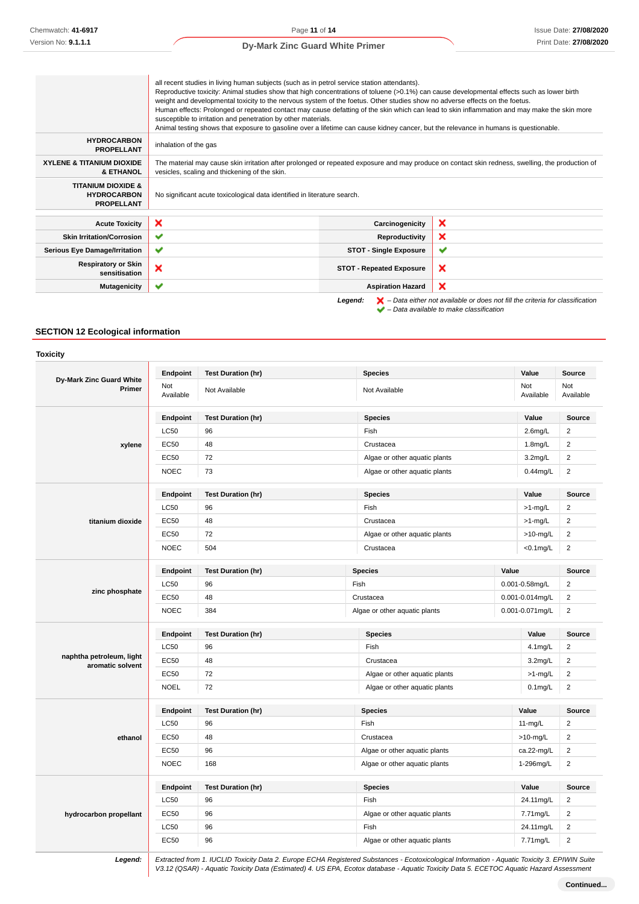|                                                                          | all recent studies in living human subjects (such as in petrol service station attendants).<br>Reproductive toxicity: Animal studies show that high concentrations of toluene (>0.1%) can cause developmental effects such as lower birth<br>weight and developmental toxicity to the nervous system of the foetus. Other studies show no adverse effects on the foetus.<br>Human effects: Prolonged or repeated contact may cause defatting of the skin which can lead to skin inflammation and may make the skin more<br>susceptible to irritation and penetration by other materials.<br>Animal testing shows that exposure to gasoline over a lifetime can cause kidney cancer, but the relevance in humans is questionable. |                                 |                                                                                                                                                  |
|--------------------------------------------------------------------------|----------------------------------------------------------------------------------------------------------------------------------------------------------------------------------------------------------------------------------------------------------------------------------------------------------------------------------------------------------------------------------------------------------------------------------------------------------------------------------------------------------------------------------------------------------------------------------------------------------------------------------------------------------------------------------------------------------------------------------|---------------------------------|--------------------------------------------------------------------------------------------------------------------------------------------------|
| <b>HYDROCARBON</b><br><b>PROPELLANT</b>                                  | inhalation of the gas                                                                                                                                                                                                                                                                                                                                                                                                                                                                                                                                                                                                                                                                                                            |                                 |                                                                                                                                                  |
| <b>XYLENE &amp; TITANIUM DIOXIDE</b><br><b>&amp; ETHANOL</b>             | vesicles, scaling and thickening of the skin.                                                                                                                                                                                                                                                                                                                                                                                                                                                                                                                                                                                                                                                                                    |                                 | The material may cause skin irritation after prolonged or repeated exposure and may produce on contact skin redness, swelling, the production of |
| <b>TITANIUM DIOXIDE &amp;</b><br><b>HYDROCARBON</b><br><b>PROPELLANT</b> | No significant acute toxicological data identified in literature search.                                                                                                                                                                                                                                                                                                                                                                                                                                                                                                                                                                                                                                                         |                                 |                                                                                                                                                  |
| <b>Acute Toxicity</b>                                                    | ×                                                                                                                                                                                                                                                                                                                                                                                                                                                                                                                                                                                                                                                                                                                                | Carcinogenicity                 | ×                                                                                                                                                |
| <b>Skin Irritation/Corrosion</b>                                         | $\checkmark$                                                                                                                                                                                                                                                                                                                                                                                                                                                                                                                                                                                                                                                                                                                     | Reproductivity                  | ×                                                                                                                                                |
| <b>Serious Eye Damage/Irritation</b>                                     | ✔                                                                                                                                                                                                                                                                                                                                                                                                                                                                                                                                                                                                                                                                                                                                | <b>STOT - Single Exposure</b>   | ✔                                                                                                                                                |
| <b>Respiratory or Skin</b><br>sensitisation                              | ×                                                                                                                                                                                                                                                                                                                                                                                                                                                                                                                                                                                                                                                                                                                                | <b>STOT - Repeated Exposure</b> | ×                                                                                                                                                |
| <b>Mutagenicity</b>                                                      | ✔                                                                                                                                                                                                                                                                                                                                                                                                                                                                                                                                                                                                                                                                                                                                | <b>Aspiration Hazard</b>        | ×                                                                                                                                                |
|                                                                          |                                                                                                                                                                                                                                                                                                                                                                                                                                                                                                                                                                                                                                                                                                                                  | Legend:                         | $\blacktriangleright$ - Data either not available or does not fill the criteria for classification                                               |

– Data available to make classification

## **SECTION 12 Ecological information**

**Toxicity**

|                                              | Endpoint         | <b>Test Duration (hr)</b> | <b>Species</b>                                   |       | Value               | Source           |
|----------------------------------------------|------------------|---------------------------|--------------------------------------------------|-------|---------------------|------------------|
| Dy-Mark Zinc Guard White<br>Primer           | Not<br>Available | Not Available             | Not Available                                    |       | Not<br>Available    | Not<br>Available |
|                                              | Endpoint         | <b>Test Duration (hr)</b> | <b>Species</b>                                   |       | Value               | Source           |
|                                              | LC50             | 96                        | Fish                                             |       | $2.6$ mg/L          | $\overline{2}$   |
| xylene                                       | <b>EC50</b>      | 48                        | Crustacea                                        |       | 1.8mg/L             | $\overline{2}$   |
|                                              | <b>EC50</b>      | 72                        | Algae or other aquatic plants                    |       | $3.2$ mg/L          | $\sqrt{2}$       |
|                                              | <b>NOEC</b>      | 73                        | Algae or other aquatic plants                    |       | $0.44$ mg/L         | $\sqrt{2}$       |
|                                              | <b>Endpoint</b>  | <b>Test Duration (hr)</b> | <b>Species</b>                                   |       | Value               | <b>Source</b>    |
|                                              | <b>LC50</b>      | 96                        | Fish                                             |       | >1-mg/L             | $\overline{2}$   |
| titanium dioxide                             | <b>EC50</b>      | 48                        | Crustacea                                        |       | >1-mg/L             | $\overline{2}$   |
|                                              | <b>EC50</b>      | 72                        | Algae or other aquatic plants                    |       | $>10$ -mg/L         | $\sqrt{2}$       |
|                                              | <b>NOEC</b>      | 504                       | Crustacea                                        |       | $<$ 0.1 $mg/L$      | $\sqrt{2}$       |
|                                              | Endpoint         | <b>Test Duration (hr)</b> | <b>Species</b>                                   | Value |                     | Source           |
|                                              | <b>LC50</b>      | 96                        | Fish                                             |       | $0.001 - 0.58$ mg/L | $\overline{2}$   |
| zinc phosphate                               | <b>EC50</b>      | 48                        | Crustacea<br>0.001-0.014mg/L                     |       | $\overline{2}$      |                  |
|                                              | <b>NOEC</b>      | 384                       | Algae or other aquatic plants<br>0.001-0.071mg/L |       | $\overline{c}$      |                  |
|                                              | Endpoint         | <b>Test Duration (hr)</b> | <b>Species</b>                                   |       | Value               | Source           |
|                                              | <b>LC50</b>      | 96                        | Fish                                             |       | 4.1mg/L             | $\overline{2}$   |
| naphtha petroleum, light<br>aromatic solvent | <b>EC50</b>      | 48                        | Crustacea                                        |       | 3.2 <sub>mg/L</sub> | $\overline{2}$   |
|                                              | <b>EC50</b>      | 72                        | Algae or other aquatic plants                    |       | $>1$ -mg/L          | $\overline{2}$   |
|                                              | <b>NOEL</b>      | 72                        | Algae or other aquatic plants                    |       | $0.1$ mg/L          | $\overline{2}$   |
|                                              | Endpoint         | <b>Test Duration (hr)</b> | <b>Species</b>                                   |       | Value               | Source           |
|                                              | LC50             | 96                        | Fish                                             |       | $11-mg/L$           | $\boldsymbol{2}$ |
| ethanol                                      | EC50             | 48                        | Crustacea                                        |       | $>10$ -mg/L         | $\overline{2}$   |
|                                              | <b>EC50</b>      | 96                        | Algae or other aquatic plants                    |       | ca.22-mg/L          | $\overline{2}$   |
|                                              | <b>NOEC</b>      | 168                       | Algae or other aquatic plants                    |       | 1-296mg/L           | $\overline{2}$   |
|                                              | <b>Endpoint</b>  | <b>Test Duration (hr)</b> | <b>Species</b>                                   |       | Value               | <b>Source</b>    |
|                                              | <b>LC50</b>      | 96                        | Fish                                             |       | 24.11mg/L           | $\overline{2}$   |
| hydrocarbon propellant                       | <b>EC50</b>      | 96                        | Algae or other aquatic plants                    |       | 7.71mg/L            | $\overline{2}$   |
|                                              | LC50             | 96                        | Fish                                             |       | 24.11mg/L           | $\overline{2}$   |
|                                              | <b>EC50</b>      | 96                        | Algae or other aquatic plants                    |       | 7.71mg/L            | $\mathbf 2$      |

**Legend:** Extracted from 1. IUCLID Toxicity Data 2. Europe ECHA Registered Substances - Ecotoxicological Information - Aquatic Toxicity 3. EPIWIN Suite V3.12 (QSAR) - Aquatic Toxicity Data (Estimated) 4. US EPA, Ecotox database - Aquatic Toxicity Data 5. ECETOC Aquatic Hazard Assessment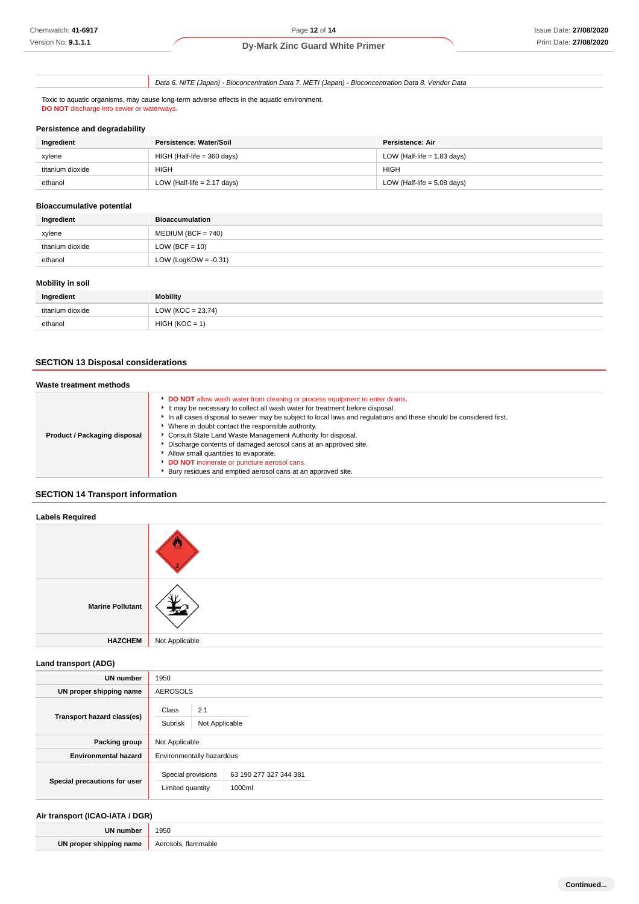Data 6. NITE (Japan) - Bioconcentration Data 7. METI (Japan) - Bioconcentration Data 8. Vendor Data

Toxic to aquatic organisms, may cause long-term adverse effects in the aquatic environment. **DO NOT** discharge into sewer or waterways.

### **Persistence and degradability**

| Ingredient       | Persistence: Water/Soil       | Persistence: Air              |
|------------------|-------------------------------|-------------------------------|
| xylene           | $HIGH$ (Half-life = 360 days) | LOW (Half-life $= 1.83$ days) |
| titanium dioxide | <b>HIGH</b>                   | <b>HIGH</b>                   |
| ethanol          | LOW (Half-life $= 2.17$ days) | LOW (Half-life $= 5.08$ days) |

## **Bioaccumulative potential**

| Ingredient       | <b>Bioaccumulation</b>  |
|------------------|-------------------------|
| xylene           | $MEDIUM (BCF = 740)$    |
| titanium dioxide | LOW (BCF = $10$ )       |
| ethanol          | LOW (LogKOW = $-0.31$ ) |

# **Mobility in soil**

| Ingredient       | <b>Mobility</b>       |
|------------------|-----------------------|
| titanium dioxide | LOW ( $KOC = 23.74$ ) |
| ethanol          | $HIGH (KOC = 1)$      |

# **SECTION 13 Disposal considerations**

| Waste treatment methods             |                                                                                                                                                                                                                                                                                                                                                                                                                                                                                                                                                                                                                                   |
|-------------------------------------|-----------------------------------------------------------------------------------------------------------------------------------------------------------------------------------------------------------------------------------------------------------------------------------------------------------------------------------------------------------------------------------------------------------------------------------------------------------------------------------------------------------------------------------------------------------------------------------------------------------------------------------|
| <b>Product / Packaging disposal</b> | DO NOT allow wash water from cleaning or process equipment to enter drains.<br>It may be necessary to collect all wash water for treatment before disposal.<br>In all cases disposal to sewer may be subject to local laws and regulations and these should be considered first.<br>▶ Where in doubt contact the responsible authority.<br>Consult State Land Waste Management Authority for disposal.<br>Discharge contents of damaged aerosol cans at an approved site.<br>Allow small quantities to evaporate.<br>DO NOT incinerate or puncture aerosol cans.<br>▶ Bury residues and emptied aerosol cans at an approved site. |

# **SECTION 14 Transport information**

# **Labels Required Marine Pollutant HAZCHEM** Not Applicable

**Land transport (ADG)**

| <b>UN number</b>             | 1950                                                                       |  |  |
|------------------------------|----------------------------------------------------------------------------|--|--|
| UN proper shipping name      | <b>AEROSOLS</b>                                                            |  |  |
| Transport hazard class(es)   | Class<br>2.1<br>Subrisk<br>Not Applicable                                  |  |  |
| Packing group                | Not Applicable                                                             |  |  |
| <b>Environmental hazard</b>  | Environmentally hazardous                                                  |  |  |
| Special precautions for user | Special provisions<br>63 190 277 327 344 381<br>1000ml<br>Limited quantity |  |  |

## **Air transport (ICAO-IATA / DGR)**

| UN number               | 1950                          |
|-------------------------|-------------------------------|
| UN proper shipping name | Aerosols.<br>. flammable<br>. |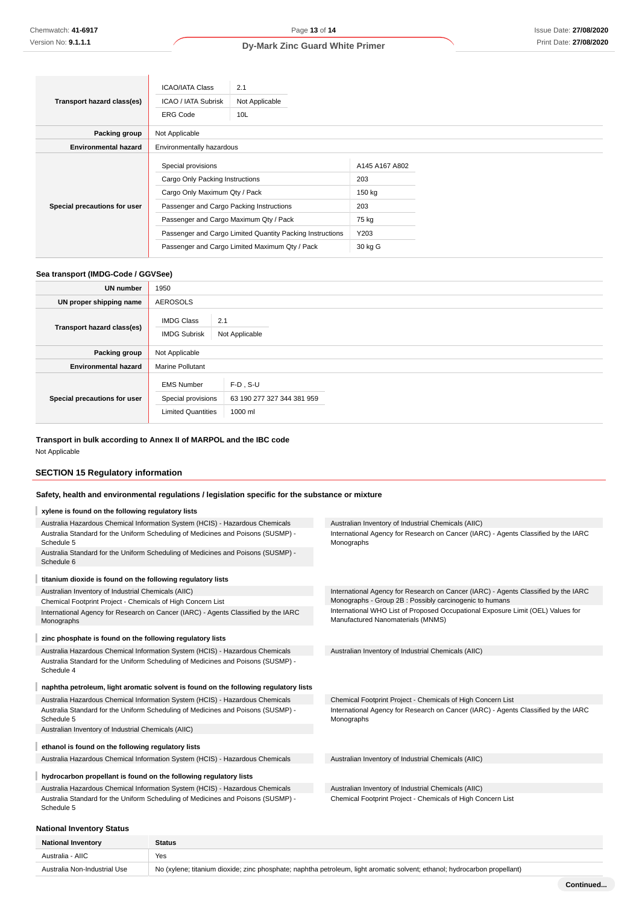|                              | <b>ICAO/IATA Class</b>                                                                                                             | 2.1                                                       |                                        |  |
|------------------------------|------------------------------------------------------------------------------------------------------------------------------------|-----------------------------------------------------------|----------------------------------------|--|
| Transport hazard class(es)   | ICAO / IATA Subrisk                                                                                                                | Not Applicable                                            |                                        |  |
|                              | <b>ERG Code</b>                                                                                                                    | 10L                                                       |                                        |  |
| Packing group                | Not Applicable                                                                                                                     |                                                           |                                        |  |
| <b>Environmental hazard</b>  | Environmentally hazardous                                                                                                          |                                                           |                                        |  |
| Special precautions for user | Special provisions<br>Cargo Only Packing Instructions<br>Cargo Only Maximum Qty / Pack<br>Passenger and Cargo Packing Instructions |                                                           | A145 A167 A802<br>203<br>150 kg<br>203 |  |
|                              | Passenger and Cargo Maximum Qty / Pack                                                                                             |                                                           | 75 kg                                  |  |
|                              |                                                                                                                                    | Passenger and Cargo Limited Quantity Packing Instructions | Y203                                   |  |
|                              |                                                                                                                                    | Passenger and Cargo Limited Maximum Qty / Pack            | 30 kg G                                |  |

## **Sea transport (IMDG-Code / GGVSee)**

| <b>UN number</b>             | 1950                                                                 |                                                      |  |
|------------------------------|----------------------------------------------------------------------|------------------------------------------------------|--|
| UN proper shipping name      | <b>AEROSOLS</b>                                                      |                                                      |  |
| Transport hazard class(es)   | <b>IMDG Class</b><br>2.1<br><b>IMDG Subrisk</b><br>Not Applicable    |                                                      |  |
| Packing group                | Not Applicable                                                       |                                                      |  |
| <b>Environmental hazard</b>  | <b>Marine Pollutant</b>                                              |                                                      |  |
| Special precautions for user | <b>EMS Number</b><br>Special provisions<br><b>Limited Quantities</b> | $F-D$ , S-U<br>63 190 277 327 344 381 959<br>1000 ml |  |

# **Transport in bulk according to Annex II of MARPOL and the IBC code**

Not Applicable

## **SECTION 15 Regulatory information**

# **Safety, health and environmental regulations / legislation specific for the substance or mixture**

| xylene is found on the following regulatory lists                                                                  |                                                                                                                                               |
|--------------------------------------------------------------------------------------------------------------------|-----------------------------------------------------------------------------------------------------------------------------------------------|
| Australia Hazardous Chemical Information System (HCIS) - Hazardous Chemicals                                       | Australian Inventory of Industrial Chemicals (AIIC)                                                                                           |
| Australia Standard for the Uniform Scheduling of Medicines and Poisons (SUSMP) -<br>Schedule 5                     | International Agency for Research on Cancer (IARC) - Agents Classified by the IARC<br>Monographs                                              |
| Australia Standard for the Uniform Scheduling of Medicines and Poisons (SUSMP) -<br>Schedule 6                     |                                                                                                                                               |
| titanium dioxide is found on the following regulatory lists                                                        |                                                                                                                                               |
| Australian Inventory of Industrial Chemicals (AIIC)<br>Chemical Footprint Project - Chemicals of High Concern List | International Agency for Research on Cancer (IARC) - Agents Classified by the IARC<br>Monographs - Group 2B : Possibly carcinogenic to humans |
| International Agency for Research on Cancer (IARC) - Agents Classified by the IARC<br>Monographs                   | International WHO List of Proposed Occupational Exposure Limit (OEL) Values for<br>Manufactured Nanomaterials (MNMS)                          |
| zinc phosphate is found on the following regulatory lists                                                          |                                                                                                                                               |
| Australia Hazardous Chemical Information System (HCIS) - Hazardous Chemicals                                       | Australian Inventory of Industrial Chemicals (AIIC)                                                                                           |
| Australia Standard for the Uniform Scheduling of Medicines and Poisons (SUSMP) -<br>Schedule 4                     |                                                                                                                                               |
| naphtha petroleum, light aromatic solvent is found on the following regulatory lists                               |                                                                                                                                               |
| Australia Hazardous Chemical Information System (HCIS) - Hazardous Chemicals                                       | Chemical Footprint Project - Chemicals of High Concern List                                                                                   |
| Australia Standard for the Uniform Scheduling of Medicines and Poisons (SUSMP) -<br>Schedule 5                     | International Agency for Research on Cancer (IARC) - Agents Classified by the IARC<br>Monographs                                              |
| Australian Inventory of Industrial Chemicals (AIIC)                                                                |                                                                                                                                               |
| ethanol is found on the following regulatory lists                                                                 |                                                                                                                                               |
| Australia Hazardous Chemical Information System (HCIS) - Hazardous Chemicals                                       | Australian Inventory of Industrial Chemicals (AIIC)                                                                                           |
| hydrocarbon propellant is found on the following regulatory lists                                                  |                                                                                                                                               |
| Australia Hazardous Chemical Information System (HCIS) - Hazardous Chemicals                                       | Australian Inventory of Industrial Chemicals (AIIC)                                                                                           |
| Australia Standard for the Uniform Scheduling of Medicines and Poisons (SUSMP) -<br>Schedule 5                     | Chemical Footprint Project - Chemicals of High Concern List                                                                                   |
|                                                                                                                    |                                                                                                                                               |

# **National Inventory Status**

| <b>National Inventory</b>    | <b>Status</b>                                                                                                             |
|------------------------------|---------------------------------------------------------------------------------------------------------------------------|
| Australia - AIIC             | Yes                                                                                                                       |
| Australia Non-Industrial Use | No (xylene; titanium dioxide; zinc phosphate; naphtha petroleum, light aromatic solvent; ethanol; hydrocarbon propellant) |